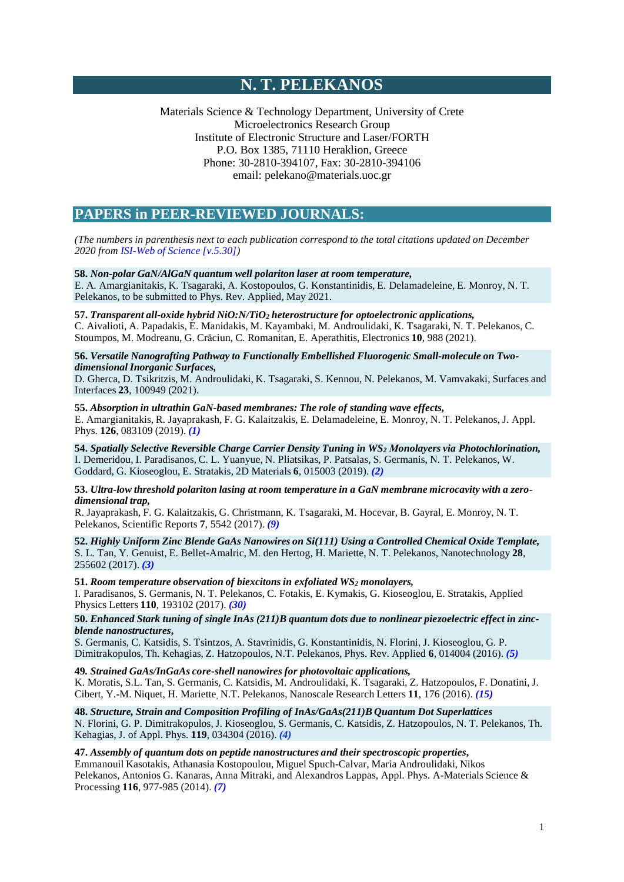# **N. T. PELEKANOS**

Materials Science & Technology Department, University of Crete Microelectronics Research Group Institute of Electronic Structure and Laser/FORTH P.O. Box 1385, 71110 Heraklion, Greece Phone: 30-2810-394107, Fax: 30-2810-394106 email: [pelekano@materials.uoc.gr](mailto:pelekano@materials.uoc.gr)

# **PAPERS in PEER-REVIEWED JOURNALS:**

*(The numbers in parenthesis next to each publication correspond to the total citations updated on December 2020 from ISI-Web of Science [v.5.30])*

# **58.** *Non-polar GaN/AlGaN quantum well polariton laser at room temperature,*

E. A. Amargianitakis, K. Tsagaraki, A. Kostopoulos, G. Konstantinidis, E. Delamadeleine, E. Monroy, N. T. Pelekanos, to be submitted to Phys. Rev. Applied, May 2021.

# **57.** *Transparent all-oxide hybrid NiO:N/TiO<sup>2</sup> heterostructure for optoelectronic applications,*

C. Aivalioti, A. Papadakis, E. Manidakis, M. Kayambaki, M. Androulidaki, K. Tsagaraki, N. T. Pelekanos, C. Stoumpos, M. Modreanu, G. Crăciun, C. Romanitan, E. Aperathitis, Electronics **10**, 988 (2021).

**56.** *Versatile Nanografting Pathway to Functionally Embellished Fluorogenic Small-molecule on Twodimensional Inorganic Surfaces,*

D. Gherca, D. Tsikritzis, M. Androulidaki, K. Tsagaraki, S. Kennou, N. Pelekanos, M. Vamvakaki, Surfaces and Interfaces **23**, 100949 (2021).

**55.** *Absorption in ultrathin GaN-based membranes: The role of standing wave effects,* E. Amargianitakis, R. Jayaprakash, F. G. Kalaitzakis, E. Delamadeleine, E. Monroy, N. T. Pelekanos, J. Appl. Phys. **126**, 083109 (2019). *(1)*

**54.** *Spatially Selective Reversible Charge Carrier Density Tuning in WS<sup>2</sup> Μonolayers via Photochlorination,*  I. Demeridou, I. Paradisanos, C. L. Yuanyue, N. Pliatsikas, P. Patsalas, S. Germanis, N. T. Pelekanos, W. Goddard, G. Kioseoglou, E. Stratakis, 2D Materials **6**, 015003 (2019). *(2)*

**53.** *Ultra-low threshold polariton lasing at room temperature in a GaN membrane microcavity with a zerodimensional trap,*

R. Jayaprakash, F. G. Kalaitzakis, G. Christmann, K. Tsagaraki, M. Hocevar, B. Gayral, E. Monroy, N. T. Pelekanos, Scientific Reports **7**, 5542 (2017). *(9)*

**52.** *Highly Uniform Zinc Blende GaAs Nanowires on Si(111) Using a Controlled Chemical Oxide Template,* S. L. Tan, Y. Genuist, E. Bellet-Amalric, M. den Hertog, H. Mariette, N. T. Pelekanos, Nanotechnology **28**, 255602 (2017). *(3)*

**51.** *Room temperature observation of biexcitons in exfoliated WS<sup>2</sup> monolayers,*

I. Paradisanos, S. Germanis, N. T. Pelekanos, C. Fotakis, E. Kymakis, G. Kioseoglou, E. Stratakis, Applied Physics Letters **110**, 193102 (2017). *(30)*

# 50. Enhanced Stark tuning of single InAs (211)B quantum dots due to nonlinear piezoelectric effect in zinc*blende nanostructures***,**

S. Germanis, C. Katsidis, S. Tsintzos, A. Stavrinidis, G. Konstantinidis, N. Florini, J. Kioseoglou, G. P. Dimitrakopulos, Th. Kehagias, Z. Hatzopoulos, N.T. Pelekanos, Phys. Rev. Applied **6**, 014004 (2016). *(5)*

**49***. Strained GaAs/InGaAs core-shell nanowires for photovoltaic applications,* K. Moratis, S.L. Tan, S. Germanis, C. Katsidis, M. Androulidaki, K. Tsagaraki, Z. Hatzopoulos, F. Donatini, J. Cibert, Y.-M. Niquet, H. Mariette, N.T. Pelekanos, Nanoscale Research Letters **11**, 176 (2016). *(15)*

**48.** *Structure, Strain and Composition Profiling of InAs/GaAs(211)B Quantum Dot Superlattices* N. Florini, G. P. Dimitrakopulos, J. Kioseoglou, S. Germanis, C. Katsidis, Z. Hatzopoulos, N. T. Pelekanos, Th. Kehagias, J. of Appl. Phys. **119**, 034304 (2016). *(4)*

**47.** *Assembly of quantum dots on peptide nanostructures and their spectroscopic properties***,**

Emmanouil Kasotakis, Athanasia Kostopoulou, Miguel Spuch-Calvar, Maria Androulidaki, Nikos Pelekanos, Antonios G. Kanaras, Anna Mitraki, and Alexandros Lappas, Appl. Phys. A-Materials Science & Processing **116**, 977-985 (2014). *(7)*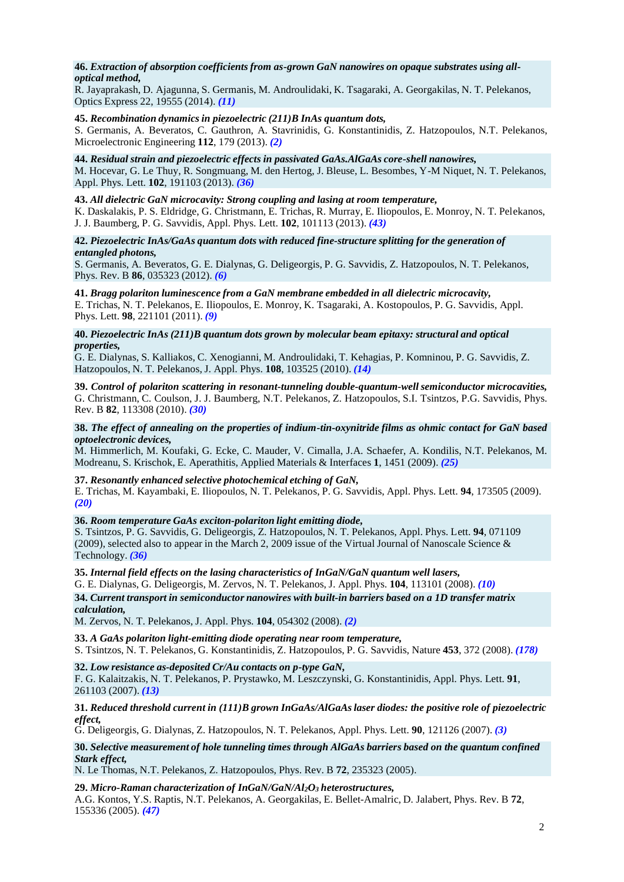# **46.** *Extraction of absorption coefficients from as-grown GaN nanowires on opaque substrates using alloptical method,*

R. Jayaprakash, D. Ajagunna, S. Germanis, M. Androulidaki, K. Tsagaraki, A. Georgakilas, N. T. Pelekanos, Optics Express 22, 19555 (2014). *(11)*

# **45.** *Recombination dynamics in piezoelectric (211)B InAs quantum dots,*

S. Germanis, A. Beveratos, C. Gauthron, A. Stavrinidis, G. Konstantinidis, Z. Hatzopoulos, N.T. Pelekanos, Microelectronic Engineering **112**, 179 (2013). *(2)*

# **44.** *Residual strain and piezoelectric effects in passivated GaAs.AlGaAs core-shell nanowires,*

M. Hocevar, G. Le Thuy, R. Songmuang, M. den Hertog, J. Bleuse, L. Besombes, Y-M Niquet, N. T. Pelekanos, Appl. Phys. Lett. **102**, 191103 (2013). *(36)*

#### **43.** *All dielectric GaN microcavity: Strong coupling and lasing at room temperature,*

K. Daskalakis, P. S. Eldridge, G. Christmann, E. Trichas, R. Murray, E. Iliopoulos, E. Monroy, N. T. Pelekanos, J. J. Baumberg, P. G. Savvidis, Appl. Phys. Lett. **102**, 101113 (2013). *(43)*

# **42.** *Piezoelectric InAs/GaAs quantum dots with reduced fine-structure splitting for the generation of entangled photons,*

S. Germanis, A. Beveratos, G. E. Dialynas, G. Deligeorgis, P. G. Savvidis, Z. Hatzopoulos, N. T. Pelekanos, Phys. Rev. B **86**, 035323 (2012). *(6)*

# **41.** *Bragg polariton luminescence from a GaN membrane embedded in all dielectric microcavity,*

E. Trichas, N. T. Pelekanos, E. Iliopoulos, E. Monroy, K. Tsagaraki, A. Kostopoulos, P. G. Savvidis, Appl. Phys. Lett. **98**, 221101 (2011). *(9)*

### **40.** *Piezoelectric InAs (211)B quantum dots grown by molecular beam epitaxy: structural and optical properties,*

G. E. Dialynas, S. Kalliakos, C. Xenogianni, M. Androulidaki, T. Kehagias, P. Komninou, P. G. Savvidis, Z. Hatzopoulos, N. T. Pelekanos, J. Appl. Phys. **108**, 103525 (2010). *(14)*

**39.** *Control of polariton scattering in resonant-tunneling double-quantum-well semiconductor microcavities,*  G. Christmann, C. Coulson, J. J. Baumberg, N.T. Pelekanos, Z. Hatzopoulos, S.I. Tsintzos, P.G. Savvidis, Phys. Rev. B **82**, 113308 (2010). *(30)*

#### 38. The effect of annealing on the properties of indium-tin-oxynitride films as ohmic contact for GaN based *optoelectronic devices,*

M. Himmerlich, M. Koufaki, G. Ecke, C. Mauder, V. Cimalla, J.A. Schaefer, A. Kondilis, N.T. Pelekanos, M. Modreanu, S. Krischok, E. Aperathitis, Applied Materials & Interfaces **1**, 1451 (2009). *(25)*

## **37.** *Resonantly enhanced selective photochemical etching of GaN,*

E. Trichas, M. Kayambaki, E. Iliopoulos, N. T. Pelekanos, P. G. Savvidis, Appl. Phys. Lett. **94**, 173505 (2009). *(20)*

#### **36.** *Room temperature GaAs exciton-polariton light emitting diode,*

S. Tsintzos, P. G. Savvidis, G. Deligeorgis, Z. Hatzopoulos, N. T. Pelekanos, Appl. Phys. Lett. **94**, 071109 (2009), selected also to appear in the March 2, 2009 issue of the Virtual Journal of Nanoscale Science & Technology. *(36)*

# **35.** *Internal field effects on the lasing characteristics of InGaN/GaN quantum well lasers,*

G. E. Dialynas, G. Deligeorgis, M. Zervos, N. T. Pelekanos, J. Appl. Phys. **104**, 113101 (2008). *(10)*

# **34.** *Current transport in semiconductor nanowires with built-in barriers based on a 1D transfer matrix calculation,*

M. Zervos, N. T. Pelekanos, J. Appl. Phys. **104**, 054302 (2008). *(2)*

#### **33.** *A GaAs polariton light-emitting diode operating near room temperature,*

S. Tsintzos, N. T. Pelekanos, G. Konstantinidis, Z. Hatzopoulos, P. G. Savvidis, Nature **453**, 372 (2008). *(178)*

# **32.** *Low resistance as-deposited Cr/Au contacts on p-type GaN,*

F. G. Kalaitzakis, N. T. Pelekanos, P. Prystawko, M. Leszczynski, G. Konstantinidis, Appl. Phys. Lett. **91**, 261103 (2007). *(13)*

#### **31.** *Reduced threshold current in (111)B grown InGaAs/AlGaAslaser diodes: the positive role of piezoelectric effect,*

G. Deligeorgis, G. Dialynas, Z. Hatzopoulos, N. T. Pelekanos, Appl. Phys. Lett. **90**, 121126 (2007). *(3)*

## **30.** *Selective measurement of hole tunneling times through AlGaAs barriers based on the quantum confined Stark effect,*

N. Le Thomas, N.T. Pelekanos, Z. Hatzopoulos, Phys. Rev. B **72**, 235323 (2005).

**29.** *Micro-Raman characterization of InGaN/GaN/Al2O<sup>3</sup> heterostructures,*

A.G. Kontos, Y.S. Raptis, N.T. Pelekanos, A. Georgakilas, E. Bellet-Amalric, D. Jalabert, Phys. Rev. B **72**, 155336 (2005). *(47)*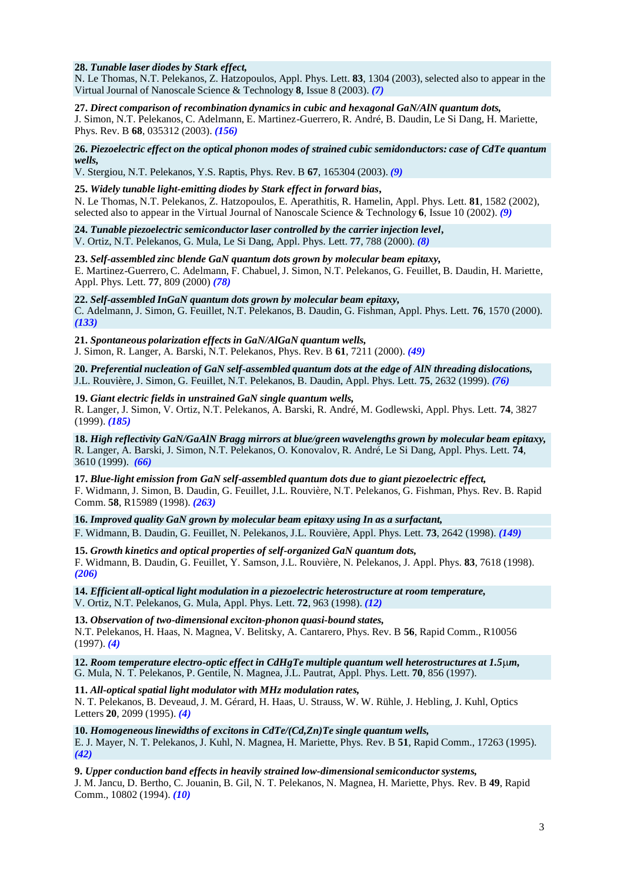### **28.** *Tunable laser diodes by Stark effect,*

N. Le Thomas, N.T. Pelekanos, Z. Hatzopoulos, Appl. Phys. Lett. **83**, 1304 (2003), selected also to appear in the Virtual Journal of Nanoscale Science & Technology **8**, Issue 8 (2003). *(7)*

**27.** *Direct comparison of recombination dynamics in cubic and hexagonal GaN/AlN quantum dots,* J. Simon, N.T. Pelekanos, C. Adelmann, E. Martinez-Guerrero, R. André, B. Daudin, Le Si Dang, H. Mariette, Phys. Rev. B **68**, 035312 (2003). *(156)*

**26.** *Piezoelectric effect on the optical phonon modes of strained cubic semidonductors: case of CdTe quantum wells,*

V. Stergiou, N.T. Pelekanos, Y.S. Raptis, Phys. Rev. B **67**, 165304 (2003). *(9)*

**25.** *Widely tunable light-emitting diodes by Stark effect in forward bias***,** N. Le Thomas, N.T. Pelekanos, Z. Hatzopoulos, E. Aperathitis, R. Hamelin, Appl. Phys. Lett. **81**, 1582 (2002), selected also to appear in the Virtual Journal of Nanoscale Science & Technology **6**, Issue 10 (2002). *(9)*

**24.** *Tunable piezoelectric semiconductorlaser controlled by the carrier injection level***,** V. Ortiz, N.T. Pelekanos, G. Mula, Le Si Dang, Appl. Phys. Lett. **77**, 788 (2000). *(8)*

**23.** *Self-assembled zinc blende GaN quantum dots grown by molecular beam epitaxy,* E. Martinez-Guerrero, C. Adelmann, F. Chabuel, J. Simon, N.T. Pelekanos, G. Feuillet, B. Daudin, H. Mariette, Appl. Phys. Lett. **77**, 809 (2000) *(78)*

**22.** *Self-assembled InGaN quantum dots grown by molecular beam epitaxy,* C. Adelmann, J. Simon, G. Feuillet, N.T. Pelekanos, B. Daudin, G. Fishman, Appl. Phys. Lett. **76**, 1570 (2000). *(133)*

**21.** *Spontaneous polarization effects in GaN/AlGaN quantum wells,* J. Simon, R. Langer, A. Barski, N.T. Pelekanos, Phys. Rev. B **61**, 7211 (2000). *(49)*

**20.** *Preferential nucleation of GaN self-assembled quantum dots at the edge of AlN threading dislocations,* J.L. Rouvière, J. Simon, G. Feuillet, N.T. Pelekanos, B. Daudin, Appl. Phys. Lett. **75**, 2632 (1999). *(76)*

**19.** *Giant electric fields in unstrained GaN single quantum wells,* R. Langer, J. Simon, V. Ortiz, N.T. Pelekanos, A. Barski, R. André, M. Godlewski, Appl. Phys. Lett. **74**, 3827 (1999). *(185)*

**18.** *High reflectivity GaN/GaAlN Bragg mirrors at blue/green wavelengths grown by molecular beam epitaxy,* R. Langer, A. Barski, J. Simon, N.T. Pelekanos, O. Konovalov, R. André, Le Si Dang, Appl. Phys. Lett. **74**, 3610 (1999). *(66)*

**17.** *Blue-light emission from GaN self-assembled quantum dots due to giant piezoelectric effect,* F. Widmann, J. Simon, B. Daudin, G. Feuillet, J.L. Rouvière, N.T. Pelekanos, G. Fishman, Phys. Rev. B. Rapid Comm. **58**, R15989 (1998). *(263)*

**16.** *Improved quality GaN grown by molecular beam epitaxy using In as a surfactant,*

F. Widmann, B. Daudin, G. Feuillet, N. Pelekanos, J.L. Rouvière, Appl. Phys. Lett. **73**, 2642 (1998). *(149)*

**15.** *Growth kinetics and optical properties of self-organized GaN quantum dots,* F. Widmann, B. Daudin, G. Feuillet, Y. Samson, J.L. Rouvière, N. Pelekanos, J. Appl. Phys. **83**, 7618 (1998). *(206)*

**14.** *Efficient all-optical light modulation in a piezoelectric heterostructure at room temperature,* V. Ortiz, N.T. Pelekanos, G. Mula, Appl. Phys. Lett. **72**, 963 (1998). *(12)*

**13.** *Observation of two-dimensional exciton-phonon quasi-bound states,* N.T. Pelekanos, H. Haas, N. Magnea, V. Belitsky, A. Cantarero, Phys. Rev. B **56**, Rapid Comm., R10056 (1997). *(4)*

**12.** *Room temperature electro-optic effect in CdHgTe multiple quantum well heterostructures at 1.5m,* G. Mula, N. T. Pelekanos, P. Gentile, N. Magnea, J.L. Pautrat, Appl. Phys. Lett. **70**, 856 (1997).

**11.** *All-optical spatial light modulator with MHz modulation rates,* N. T. Pelekanos, B. Deveaud, J. M. Gérard, H. Haas, U. Strauss, W. W. Rühle, J. Hebling, J. Kuhl, Optics Letters **20**, 2099 (1995). *(4)*

**10.** *Homogeneouslinewidths of excitons in CdTe/(Cd,Zn)Te single quantum wells,* E. J. Mayer, N. T. Pelekanos, J. Kuhl, N. Magnea, H. Mariette, Phys. Rev. B **51**, Rapid Comm., 17263 (1995). *(42)*

**9.** *Upper conduction band effects in heavily strained low-dimensionalsemiconductorsystems,*

J. M. Jancu, D. Bertho, C. Jouanin, B. Gil, N. T. Pelekanos, N. Magnea, H. Mariette, Phys. Rev. B **49**, Rapid Comm., 10802 (1994). *(10)*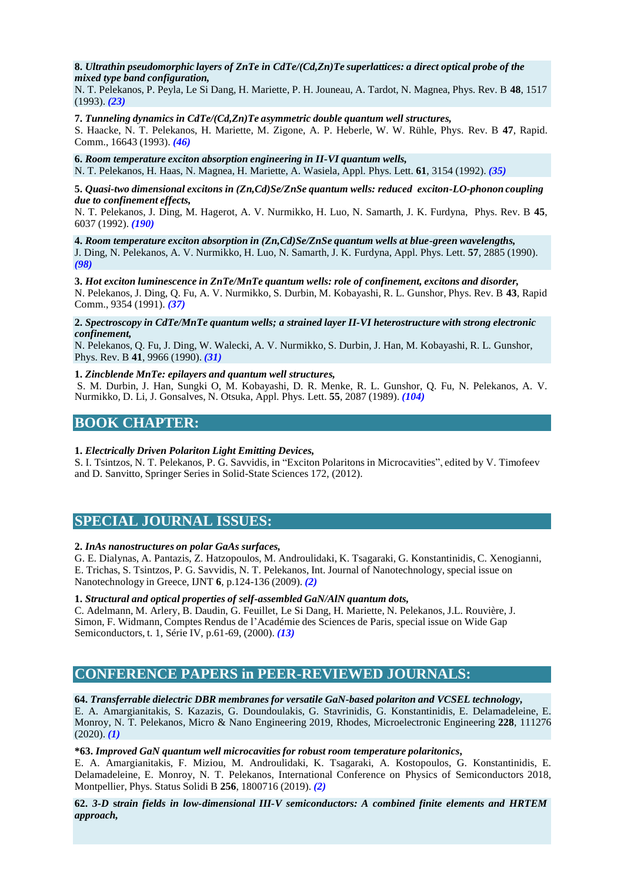# **8.** *Ultrathin pseudomorphic layers of ZnTe in CdTe/(Cd,Zn)Te superlattices: a direct optical probe of the mixed type band configuration,*

N. T. Pelekanos, P. Peyla, Le Si Dang, H. Mariette, P. H. Jouneau, A. Tardot, N. Magnea, Phys. Rev. B **48**, 1517 (1993). *(23)*

**7.** *Tunneling dynamics in CdTe/(Cd,Zn)Te asymmetric double quantum well structures,*

S. Haacke, N. T. Pelekanos, H. Mariette, M. Zigone, A. P. Heberle, W. W. Rühle, Phys. Rev. B **47**, Rapid. Comm., 16643 (1993). *(46)*

**6.** *Room temperature exciton absorption engineering in II-VI quantum wells,* N. T. Pelekanos, H. Haas, N. Magnea, H. Mariette, A. Wasiela, Appl. Phys. Lett. **61**, 3154 (1992). *(35)*

**5.** *Quasi-two dimensional excitons in (Zn,Cd)Se/ZnSe quantum wells: reduced exciton-LO-phonon coupling due to confinement effects,*

N. T. Pelekanos, J. Ding, M. Hagerot, A. V. Nurmikko, H. Luo, N. Samarth, J. K. Furdyna, Phys. Rev. B **45**, 6037 (1992). *(190)*

**4.** *Room temperature exciton absorption in (Zn,Cd)Se/ZnSe quantum wells at blue-green wavelengths,* J. Ding, N. Pelekanos, A. V. Nurmikko, H. Luo, N. Samarth, J. K. Furdyna, Appl. Phys. Lett. **57**, 2885 (1990). *(98)*

**3.** *Hot exciton luminescence in ZnTe/MnTe quantum wells: role of confinement, excitons and disorder,* N. Pelekanos, J. Ding, Q. Fu, A. V. Nurmikko, S. Durbin, M. Kobayashi, R. L. Gunshor, Phys. Rev. B **43**, Rapid Comm., 9354 (1991). *(37)*

#### **2.** *Spectroscopy in CdTe/MnTe quantum wells; a strained layer II-VI heterostructure with strong electronic confinement,*

N. Pelekanos, Q. Fu, J. Ding, W. Walecki, A. V. Nurmikko, S. Durbin, J. Han, M. Kobayashi, R. L. Gunshor, Phys. Rev. B **41**, 9966 (1990). *(31)*

# **1.** *Zincblende MnTe: epilayers and quantum well structures,*

S. M. Durbin, J. Han, Sungki O, M. Kobayashi, D. R. Menke, R. L. Gunshor, Q. Fu, N. Pelekanos, A. V. Nurmikko, D. Li, J. Gonsalves, N. Otsuka, Appl. Phys. Lett. **55**, 2087 (1989). *(104)*

# **BOOK CHAPTER:**

# **1.** *Electrically Driven Polariton Light Emitting Devices,*

S. I. Tsintzos, N. T. Pelekanos, P. G. Savvidis, in "Exciton Polaritons in Microcavities", edited by V. Timofeev and D. Sanvitto, Springer Series in Solid-State Sciences 172, (2012).

# **SPECIAL JOURNAL ISSUES:**

# **2.** *InAs nanostructures on polar GaAs surfaces,*

G. E. Dialynas, A. Pantazis, Z. Hatzopoulos, M. Androulidaki, K. Tsagaraki, G. Konstantinidis, C. Xenogianni, E. Trichas, S. Tsintzos, P. G. Savvidis, N. T. Pelekanos, Int. Journal of Nanotechnology, special issue on Nanotechnology in Greece, IJNT **6**, p.124-136 (2009). *(2)*

# **1.** *Structural and optical properties of self-assembled GaN/AlN quantum dots,*

C. Adelmann, M. Arlery, B. Daudin, G. Feuillet, Le Si Dang, H. Mariette, N. Pelekanos, J.L. Rouvière, J. Simon, F. Widmann, Comptes Rendus de l'Académie des Sciences de Paris, special issue on Wide Gap Semiconductors, t. 1, Série IV, p.61-69, (2000). *(13)*

# **CONFERENCE PAPERS in PEER-REVIEWED JOURNALS:**

# **64.** *Transferrable dielectric DBR membranes for versatile GaN-based polariton and VCSEL technology,*

E. A. Amargianitakis, S. Kazazis, G. Doundoulakis, G. Stavrinidis, G. Konstantinidis, E. Delamadeleine, E. Monroy, N. T. Pelekanos, Micro & Nano Engineering 2019, Rhodes, Microelectronic Engineering **228**, 111276 (2020). *(1)*

# **\*63.** *Improved GaN quantum well microcavitiesfor robust room temperature polaritonics,*

E. A. Amargianitakis, F. Miziou, M. Androulidaki, K. Tsagaraki, A. Kostopoulos, G. Konstantinidis, E. Delamadeleine, E. Monroy, N. T. Pelekanos, International Conference on Physics of Semiconductors 2018, Montpellier, Phys. Status Solidi B **256**, 1800716 (2019). *(2)*

# **62.** *3-D* **s***train fields in low-dimensional III-V semiconductors: A combined finite elements and HRTEM approach,*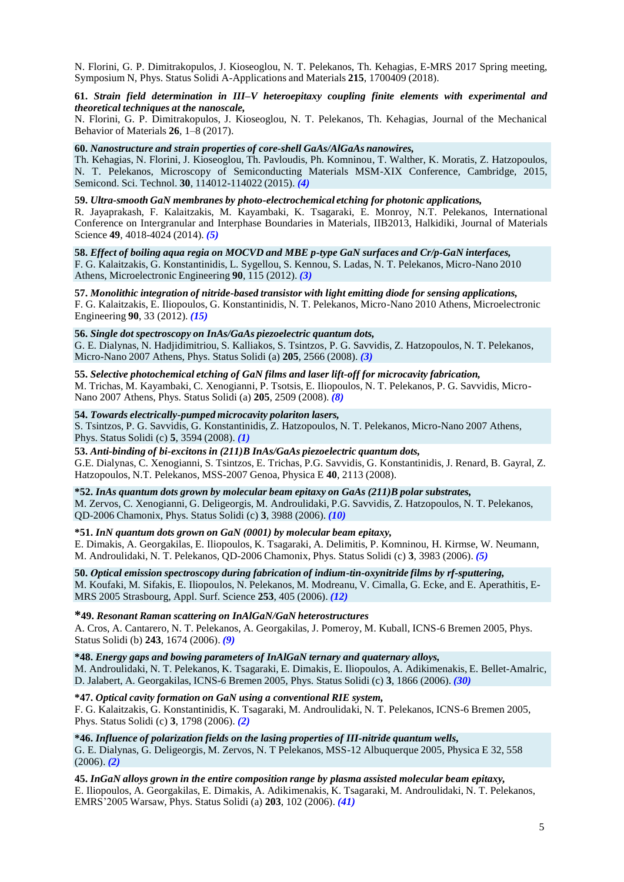N. Florini, G. P. Dimitrakopulos, J. Kioseoglou, N. T. Pelekanos, Th. Kehagias, E-MRS 2017 Spring meeting, Symposium N, Phys. Status Solidi A-Applications and Materials **215**, 1700409 (2018).

#### **61.** *Strain field determination in III–V heteroepitaxy coupling finite elements with experimental and theoretical techniques at the nanoscale,*

N. Florini, G. P. Dimitrakopulos, J. Kioseoglou, N. T. Pelekanos, Th. Kehagias, Journal of the Mechanical Behavior of Materials **26**, 1–8 (2017).

# **60.** *Nanostructure and strain properties of core-shell GaAs/AlGaAs nanowires,*

Th. Kehagias, N. Florini, J. Kioseoglou, Th. Pavloudis, Ph. Komninou, T. Walther, K. Moratis, Z. Hatzopoulos, N. T. Pelekanos, Microscopy of Semiconducting Materials MSM-XIX Conference, Cambridge, 2015, Semicond. Sci. Technol. **30**, 114012-114022 (2015). *(4)*

# **59.** *Ultra-smooth GaN membranes by photo-electrochemical etching for photonic applications,*

R. Jayaprakash, F. Kalaitzakis, M. Kayambaki, K. Tsagaraki, E. Monroy, N.T. Pelekanos, International Conference on Intergranular and Interphase Boundaries in Materials, IIB2013, Halkidiki, Journal of Materials Science **49**, 4018-4024 (2014). *(5)*

# **58.** *Effect of boiling aqua regia on MOCVD and MBE p-type GaN surfaces and Cr/p-GaN interfaces,*

F. G. Kalaitzakis, G. Konstantinidis, L. Sygellou, S. Kennou, S. Ladas, N. T. Pelekanos, Micro-Nano 2010 Athens, Microelectronic Engineering **90**, 115 (2012). *(3)*

**57.** *Monolithic integration of nitride-based transistor with light emitting diode for sensing applications,* F. G. Kalaitzakis, E. Iliopoulos, G. Konstantinidis, N. T. Pelekanos, Micro-Nano 2010 Athens, Microelectronic Engineering **90**, 33 (2012). *(15)*

### **56.** *Single dot spectroscopy on InAs/GaAs piezoelectric quantum dots,*

G. E. Dialynas, N. Hadjidimitriou, S. Kalliakos, S. Tsintzos, P. G. Savvidis, Z. Hatzopoulos, N. T. Pelekanos, Micro-Nano 2007 Athens, Phys. Status Solidi (a) **205**, 2566 (2008). *(3)*

# **55.** *Selective photochemical etching of GaN films and laser lift-off for microcavity fabrication,* M. Trichas, M. Kayambaki, C. Xenogianni, P. Tsotsis, E. Iliopoulos, N. T. Pelekanos, P. G. Savvidis, Micro-Nano 2007 Athens, Phys. Status Solidi (a) **205**, 2509 (2008). *(8)*

### **54.** *Towards electrically-pumped microcavity polariton lasers,*

S. Tsintzos, P. G. Savvidis, G. Konstantinidis, Z. Hatzopoulos, N. T. Pelekanos, Micro-Nano 2007 Athens, Phys. Status Solidi (c) **5**, 3594 (2008). *(1)*

**53.** *Anti-binding of bi-excitons in (211)B InAs/GaAs piezoelectric quantum dots,* G.E. Dialynas, C. Xenogianni, S. Tsintzos, E. Trichas, P.G. Savvidis, G. Konstantinidis, J. Renard, B. Gayral, Z.

Hatzopoulos, N.T. Pelekanos, MSS-2007 Genoa, Physica E **40**, 2113 (2008).

**\*52.** *InAs quantum dots grown by molecular beam epitaxy on GaAs (211)B polar substrates,* M. Zervos, C. Xenogianni, G. Deligeorgis, M. Androulidaki, P.G. Savvidis, Z. Hatzopoulos, N. T. Pelekanos, QD-2006 Chamonix, Phys. Status Solidi (c) **3**, 3988 (2006). *(10)*

# **\*51.** *InN quantum dots grown on GaN (0001) by molecular beam epitaxy,*

E. Dimakis, A. Georgakilas, E. Iliopoulos, K. Tsagaraki, A. Delimitis, P. Komninou, H. Kirmse, W. Neumann, M. Androulidaki, N. T. Pelekanos, QD-2006 Chamonix, Phys. Status Solidi (c) **3**, 3983 (2006). *(5)*

**50.** *Οptical emission spectroscopy during fabrication of indium-tin-oxynitride films by rf-sputtering,* M. Koufaki, M. Sifakis, E. Iliopoulos, N. Pelekanos, M. Modreanu, V. Cimalla, G. Ecke, and E. Aperathitis, E-MRS 2005 Strasbourg, Appl. Surf. Science **253**, 405 (2006). *(12)*

# **\*49.** *Resonant Raman scattering on InAlGaN/GaN heterostructures*

A. Cros, A. Cantarero, N. T. Pelekanos, A. Georgakilas, J. Pomeroy, M. Kuball, ICNS-6 Bremen 2005, Phys. Status Solidi (b) **243**, 1674 (2006). *(9)*

**\*48.** *Energy gaps and bowing parameters of InAlGaN ternary and quaternary alloys,*

M. Androulidaki, N. T. Pelekanos, K. Tsagaraki, E. Dimakis, E. Iliopoulos, A. Adikimenakis, E. Bellet-Amalric, D. Jalabert, A. Georgakilas, ICNS-6 Bremen 2005, Phys. Status Solidi (c) **3**, 1866 (2006). *(30)*

# **\*47.** *Optical cavity formation on GaN using a conventional RIE system,*

F. G. Kalaitzakis, G. Konstantinidis, K. Tsagaraki, M. Androulidaki, N. T. Pelekanos, ICNS-6 Bremen 2005, Phys. Status Solidi (c) **3**, 1798 (2006). *(2)*

#### **\*46.** *Influence of polarization fields on the lasing properties of III-nitride quantum wells,* G. E. Dialynas, G. Deligeorgis, M. Zervos, N. T Pelekanos, MSS-12 Albuquerque 2005, Physica E 32, 558 (2006). *(2)*

**45.** *InGaN alloys grown in the entire composition range by plasma assisted molecular beam epitaxy,* E. Iliopoulos, A. Georgakilas, E. Dimakis, A. Adikimenakis, K. Tsagaraki, M. Androulidaki, N. T. Pelekanos, EMRS'2005 Warsaw, Phys. Status Solidi (a) **203**, 102 (2006). *(41)*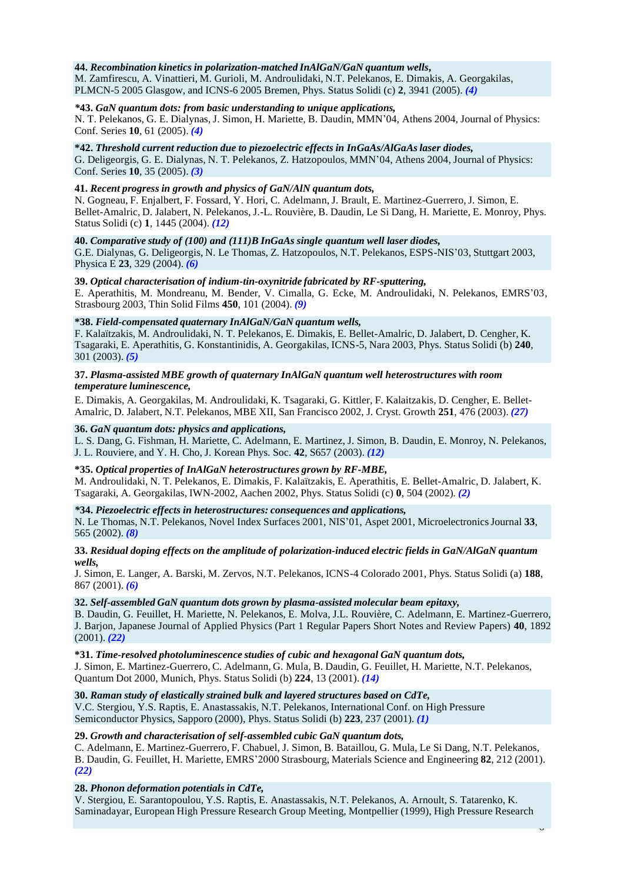#### **44.** *Recombination kinetics in polarization-matched InAlGaN/GaN quantum wells***,**

M. Zamfirescu, A. Vinattieri, M. Gurioli, M. Androulidaki, N.T. Pelekanos, E. Dimakis, A. Georgakilas, PLMCN-5 2005 Glasgow, and ICNS-6 2005 Bremen, Phys. Status Solidi (c) **2**, 3941 (2005). *(4)*

# *\****43.** *GaN quantum dots: from basic understanding to unique applications,*

N. T. Pelekanos, G. E. Dialynas, J. Simon, H. Mariette, B. Daudin, MMN'04, Athens 2004, Journal of Physics: Conf. Series **10**, 61 (2005). *(4)*

#### **\*42.** *Threshold current reduction due to piezoelectric effects in InGaAs/AlGaAslaser diodes,*

G. Deligeorgis, G. E. Dialynas, N. T. Pelekanos, Z. Hatzopoulos, MMN'04, Athens 2004, Journal of Physics: Conf. Series **10**, 35 (2005). *(3)*

# **41.** *Recent progress in growth and physics of GaN/AlN quantum dots,*

N. Gogneau, F. Enjalbert, F. Fossard, Y. Hori, C. Adelmann, J. Brault, E. Martinez-Guerrero,J. Simon, E. Bellet-Amalric, D. Jalabert, N. Pelekanos, J.-L. Rouvière, B. Daudin, Le Si Dang, H. Mariette, E. Monroy, Phys. Status Solidi (c) **1**, 1445 (2004). *(12)*

### **40.** *Comparative study of (100) and (111)B InGaAs single quantum well laser diodes,*

G.E. Dialynas, G. Deligeorgis, N. Le Thomas, Z. Hatzopoulos, N.T. Pelekanos, ESPS-NIS'03, Stuttgart 2003, Physica E **23**, 329 (2004). *(6)*

### **39.** *Optical characterisation of indium-tin-oxynitride fabricated by RF-sputtering,*

E. Aperathitis, M. Mondreanu, M. Bender, V. Cimalla, G. Ecke, M. Androulidaki, N. Pelekanos, EMRS'03, Strasbourg 2003, Thin Solid Films **450**, 101 (2004). *(9)*

### **\*38.** *Field-compensated quaternary InAlGaN/GaN quantum wells,*

F. Kalaïtzakis, M. Androulidaki, N. T. Pelekanos, E. Dimakis, E. Bellet-Amalric, D. Jalabert, D. Cengher, K. Tsagaraki, E. Aperathitis, G. Konstantinidis, A. Georgakilas, ICNS-5, Nara 2003, Phys. Status Solidi (b) **240**, 301 (2003). *(5)*

# **37.** *Plasma-assisted MBE growth of quaternary InAlGaN quantum well heterostructures with room temperature luminescence,*

E. Dimakis, A. Georgakilas, M. Androulidaki, K. Tsagaraki, G. Kittler, F. Kalaitzakis, D. Cengher, E. Bellet-Amalric, D. Jalabert, N.T. Pelekanos, MBE XII, San Francisco 2002, J. Cryst. Growth **251**, 476 (2003). *(27)*

### **36.** *GaN quantum dots: physics and applications,*

L. S. Dang, G. Fishman, H. Mariette, C. Adelmann, E. Martinez, J. Simon, B. Daudin, E. Monroy, N. Pelekanos, J. L. Rouviere, and Y. H. Cho, J. Korean Phys. Soc. **42**, S657 (2003). *(12)*

# **\*35.** *Optical properties of InAlGaN heterostructures grown by RF-MBE,*

M. Androulidaki, N. T. Pelekanos, E. Dimakis, F. Kalaïtzakis, E. Aperathitis, E. Bellet-Amalric, D. Jalabert, K. Tsagaraki, A. Georgakilas, IWN-2002, Aachen 2002, Phys. Status Solidi (c) **0**, 504 (2002). *(2)*

#### *\****34.** *Piezoelectric effects in heterostructures: consequences and applications,*

N. Le Thomas, N.T. Pelekanos, Novel Index Surfaces 2001, NIS'01, Aspet 2001, MicroelectronicsJournal **33**, 565 (2002). *(8)*

# **33.** *Residual doping effects on the amplitude of polarization-induced electric fields in GaN/AlGaN quantum wells,*

J. Simon, E. Langer, A. Barski, M. Zervos, N.T. Pelekanos, ICNS-4 Colorado 2001, Phys. Status Solidi (a) **188**, 867 (2001). *(6)*

# **32.** *Self-assembled GaN quantum dots grown by plasma-assisted molecular beam epitaxy,*

B. Daudin, G. Feuillet, H. Mariette, N. Pelekanos, E. Molva, J.L. Rouvière, C. Adelmann, E. Martinez-Guerrero, J. Barjon, Japanese Journal of Applied Physics (Part 1 Regular Papers Short Notes and Review Papers) **40**, 1892 (2001). *(22)*

**\*31.** *Time-resolved photoluminescence studies of cubic and hexagonal GaN quantum dots,* J. Simon, E. Martinez-Guerrero, C. Adelmann, G. Mula, B. Daudin, G. Feuillet, H. Mariette, N.T. Pelekanos, Quantum Dot 2000, Munich, Phys. Status Solidi (b) **224**, 13 (2001). *(14)*

# **30.** *Raman study of elastically strained bulk and layered structures based on CdTe,*

V.C. Stergiou, Y.S. Raptis, E. Anastassakis, N.T. Pelekanos, International Conf. on High Pressure Semiconductor Physics, Sapporo (2000), Phys. Status Solidi (b) **223**, 237 (2001). *(1)*

# **29.** *Growth and characterisation of self-assembled cubic GaN quantum dots,*

C. Adelmann, E. Martinez-Guerrero, F. Chabuel, J. Simon, B. Bataillou, G. Mula, Le Si Dang, N.T. Pelekanos, B. Daudin, G. Feuillet, H. Mariette, EMRS'2000 Strasbourg, Materials Science and Engineering **82**, 212 (2001). *(22)*

# **28.** *Phonon deformation potentials in CdTe,*

V. Stergiou, E. Sarantopoulou, Y.S. Raptis, E. Anastassakis, N.T. Pelekanos, A. Arnoult, S. Tatarenko, K. Saminadayar, European High Pressure Research Group Meeting, Montpellier (1999), High Pressure Research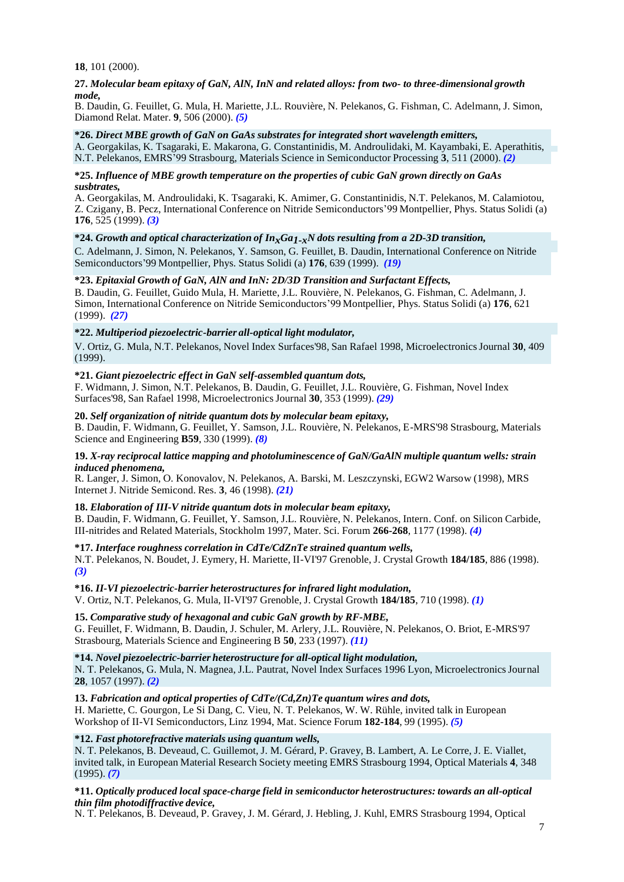**18**, 101 (2000).

# **27.** *Molecular beam epitaxy of GaN, AlN, InN and related alloys: from two- to three-dimensional growth mode,*

B. Daudin, G. Feuillet, G. Mula, H. Mariette, J.L. Rouvière, N. Pelekanos, G. Fishman, C. Adelmann, J. Simon, Diamond Relat. Mater. **9**, 506 (2000). *(5)*

#### **\*26.** *Direct MBE growth of GaN on GaAs substrates for integrated short wavelength emitters,*

A. Georgakilas, K. Tsagaraki, E. Makarona, G. Constantinidis, M. Androulidaki, M. Kayambaki, E. Aperathitis, N.T. Pelekanos, EMRS'99 Strasbourg, Materials Science in Semiconductor Processing **3**, 511 (2000). *(2)*

**\*25.** *Influence of MBE growth temperature on the properties of cubic GaN grown directly on GaAs susbtrates,*

A. Georgakilas, M. Androulidaki, K. Tsagaraki, K. Amimer, G. Constantinidis, N.T. Pelekanos, M. Calamiotou, Z. Czigany, B. Pecz, International Conference on Nitride Semiconductors'99 Montpellier, Phys. Status Solidi (a) **176**, 525 (1999). *(3)*

### **\*24.** *Growth and optical characterization of InxGa1-xN dots resulting from a 2D-3D transition,*

C. Adelmann, J. Simon, N. Pelekanos, Y. Samson, G. Feuillet, B. Daudin, International Conference on Nitride Semiconductors'99 Montpellier, Phys. Status Solidi (a) **176**, 639 (1999). *(19)*

# **\*23.** *Epitaxial Growth of GaN, AlN and InN: 2D/3D Transition and Surfactant Effects,*

B. Daudin, G. Feuillet, Guido Mula, H. Mariette, J.L. Rouvière, N. Pelekanos, G. Fishman, C. Adelmann, J. Simon, International Conference on Nitride Semiconductors'99 Montpellier, Phys. Status Solidi (a) **176**, 621 (1999). *(27)*

# **\*22.** *Multiperiod piezoelectric-barrier all-optical light modulator,*

V. Ortiz, G. Mula, N.T. Pelekanos, Novel Index Surfaces'98, San Rafael 1998, MicroelectronicsJournal **30**, 409 (1999).

### **\*21.** *Giant piezoelectric effect in GaN self-assembled quantum dots,*

F. Widmann, J. Simon, N.T. Pelekanos, B. Daudin, G. Feuillet, J.L. Rouvière, G. Fishman, Novel Index Surfaces'98, San Rafael 1998, MicroelectronicsJournal **30**, 353 (1999). *(29)*

### **20.** *Self organization of nitride quantum dots by molecular beam epitaxy,*

B. Daudin, F. Widmann, G. Feuillet, Y. Samson, J.L. Rouvière, N. Pelekanos, E-MRS'98 Strasbourg, Materials Science and Engineering **B59**, 330 (1999). *(8)*

### **19.** *X-ray reciprocal lattice mapping and photoluminescence of GaN/GaAlN multiple quantum wells: strain induced phenomena,*

R. Langer, J. Simon, O. Konovalov, N. Pelekanos, A. Barski, M. Leszczynski, EGW2 Warsow (1998), MRS Internet J. Nitride Semicond. Res. **3**, 46 (1998). *(21)*

# **18.** *Elaboration of III-V nitride quantum dots in molecular beam epitaxy,*

B. Daudin, F. Widmann, G. Feuillet, Y. Samson, J.L. Rouvière, N. Pelekanos, Intern. Conf. on Silicon Carbide, III-nitrides and Related Materials, Stockholm 1997, Mater. Sci. Forum **266-268**, 1177 (1998). *(4)*

# **\*17.** *Interface roughness correlation in CdTe/CdZnTe strained quantum wells,*

N.T. Pelekanos, N. Boudet, J. Eymery, H. Mariette, II-VI'97 Grenoble, J. Crystal Growth **184/185**, 886 (1998). *(3)*

# **\*16.** *II-VI piezoelectric-barrier heterostructuresfor infrared light modulation,*

V. Ortiz, N.T. Pelekanos, G. Mula, II-VI'97 Grenoble, J. Crystal Growth **184/185**, 710 (1998). *(1)*

# **15.** *Comparative study of hexagonal and cubic GaN growth by RF-MBE,*

G. Feuillet, F. Widmann, B. Daudin, J. Schuler, M. Arlery, J.L. Rouvière, N. Pelekanos, O. Briot, E-MRS'97 Strasbourg, Materials Science and Engineering B **50**, 233 (1997). *(11)*

# **\*14.** *Novel piezoelectric-barrier heterostructure for all-optical light modulation,*

N. T. Pelekanos, G. Mula, N. Magnea, J.L. Pautrat, Novel Index Surfaces 1996 Lyon, MicroelectronicsJournal **28**, 1057 (1997). *(2)*

# **13.** *Fabrication and optical properties of CdTe/(Cd,Zn)Te quantum wires and dots,*

H. Mariette, C. Gourgon, Le Si Dang, C. Vieu, N. T. Pelekanos, W. W. Rühle, invited talk in European Workshop of II-VI Semiconductors, Linz 1994, Mat. Science Forum **182-184**, 99 (1995). *(5)*

# **\*12.** *Fast photorefractive materials using quantum wells,*

N. T. Pelekanos, B. Deveaud, C. Guillemot, J. M. Gérard, P. Gravey, B. Lambert, A. Le Corre, J. E. Viallet, invited talk, in European Material Research Society meeting EMRS Strasbourg 1994, Optical Materials **4**, 348 (1995). *(7)*

# **\*11.** *Optically produced local space-charge field in semiconductor heterostructures: towards an all-optical thin film photodiffractive device,*

N. T. Pelekanos, B. Deveaud, P. Gravey, J. M. Gérard, J. Hebling, J. Kuhl, EMRS Strasbourg 1994, Optical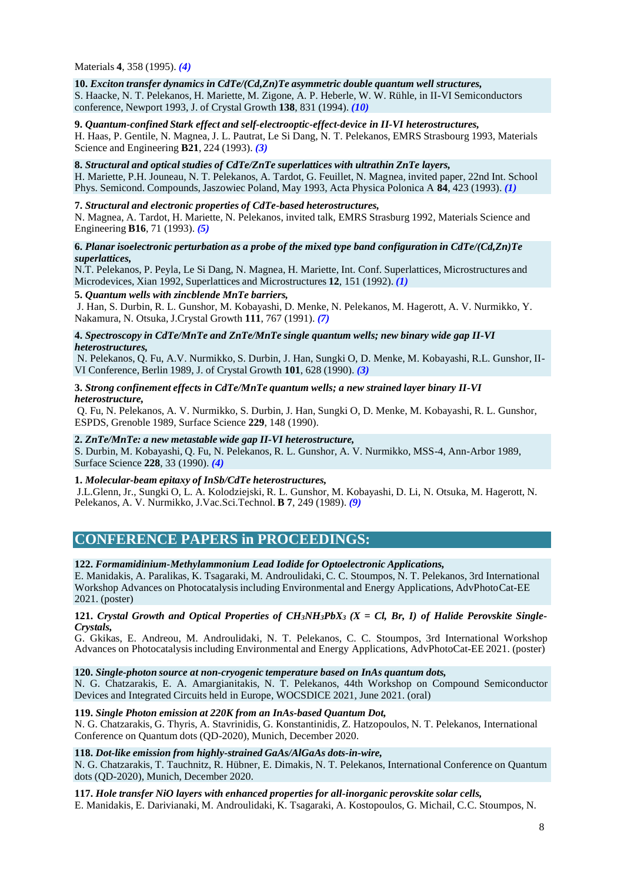Materials **4**, 358 (1995). *(4)*

#### **10.** *Exciton transfer dynamics in CdTe/(Cd,Zn)Te asymmetric double quantum well structures,* S. Haacke, N. T. Pelekanos, H. Mariette, M. Zigone, A. P. Heberle, W. W. Rühle, in II-VI Semiconductors conference, Newport 1993, J. of Crystal Growth **138**, 831 (1994). *(10)*

# **9.** *Quantum-confined Stark effect and self-electrooptic-effect-device in II-VI heterostructures,*

H. Haas, P. Gentile, N. Magnea, J. L. Pautrat, Le Si Dang, N. T. Pelekanos, EMRS Strasbourg 1993, Materials Science and Engineering **B21**, 224 (1993). *(3)*

# **8.** *Structural and optical studies of CdTe/ZnTe superlattices with ultrathin ZnTe layers,*

H. Mariette, P.H. Jouneau, N. T. Pelekanos, A. Tardot, G. Feuillet, N. Magnea, invited paper, 22nd Int. School Phys. Semicond. Compounds, Jaszowiec Poland, May 1993, Acta Physica Polonica A **84**, 423 (1993). *(1)*

# **7.** *Structural and electronic properties of CdTe-based heterostructures,*

N. Magnea, A. Tardot, H. Mariette, N. Pelekanos, invited talk, EMRS Strasburg 1992, Materials Science and Engineering **B16**, 71 (1993). *(5)*

# **6.** *Planar isoelectronic perturbation as a probe of the mixed type band configuration in CdTe/(Cd,Zn)Te superlattices,*

N.T. Pelekanos, P. Peyla, Le Si Dang, N. Magnea, H. Mariette, Int. Conf. Superlattices, Microstructures and Microdevices, Xian 1992, Superlattices and Microstructures **12**, 151 (1992). *(1)*

# **5.** *Quantum wells with zincblende MnTe barriers,*

J. Han, S. Durbin, R. L. Gunshor, M. Kobayashi, D. Menke, N. Pelekanos, M. Hagerott, A. V. Nurmikko, Y. Nakamura, N. Otsuka, J.Crystal Growth **111**, 767 (1991). *(7)*

# **4.** *Spectroscopy in CdTe/MnTe and ZnTe/MnTe single quantum wells; new binary wide gap II-VI heterostructures,*

N. Pelekanos, Q. Fu, A.V. Nurmikko, S. Durbin, J. Han, Sungki O, D. Menke, M. Kobayashi, R.L. Gunshor, II-VI Conference, Berlin 1989, J. of Crystal Growth **101**, 628 (1990). *(3)*

### **3.** *Strong confinement effects in CdTe/MnTe quantum wells; a new strained layer binary II-VI heterostructure,*

Q. Fu, N. Pelekanos, A. V. Nurmikko, S. Durbin, J. Han, Sungki O, D. Menke, M. Kobayashi, R. L. Gunshor, ESPDS, Grenoble 1989, Surface Science **229**, 148 (1990).

# **2.** *ZnTe/MnTe: a new metastable wide gap II-VI heterostructure,*

S. Durbin, M. Kobayashi, Q. Fu, N. Pelekanos, R. L. Gunshor, A. V. Nurmikko, MSS-4, Ann-Arbor 1989, Surface Science **228**, 33 (1990). *(4)*

# **1.** *Molecular-beam epitaxy of InSb/CdTe heterostructures,*

J.L.Glenn, Jr., Sungki O, L. A. Kolodziejski, R. L. Gunshor, M. Kobayashi, D. Li, N. Otsuka, M. Hagerott, N. Pelekanos, A. V. Nurmikko, J.Vac.Sci.Technol. **B 7**, 249 (1989). *(9)*

# **CONFERENCE PAPERS in PROCEEDINGS:**

# **122.** *Formamidinium-Methylammonium Lead Iodide for Optoelectronic Applications,*

E. Manidakis, A. Paralikas, K. Tsagaraki, M. Androulidaki, C. C. Stoumpos, N. T. Pelekanos, 3rd International Workshop Advances on Photocatalysisincluding Environmental and Energy Applications, AdvPhotoCat-EE 2021. (poster)

# 121. Crystal Growth and Optical Properties of CH<sub>3</sub>NH<sub>3</sub>PbX<sub>3</sub> (X = Cl, Br, I) of Halide Perovskite Single-*Crystals,*

G. Gkikas, E. Αndreou, M. Androulidaki, N. T. Pelekanos, C. C. Stoumpos, 3rd International Workshop Advances on Photocatalysisincluding Environmental and Energy Applications, AdvPhotoCat-EE 2021. (poster)

#### **120.** *Single-photon source at non-cryogenic temperature based on InAs quantum dots,*

N. G. Chatzarakis, E. A. Amargianitakis, N. T. Pelekanos, 44th Workshop on Compound Semiconductor Devices and Integrated Circuits held in Europe, WOCSDICE 2021, June 2021. (oral)

# **119.** *Single Photon emission at 220K from an InAs-based Quantum Dot,*

N. G. Chatzarakis, G. Thyris, A. Stavrinidis, G. Konstantinidis, Z. Hatzopoulos, N. T. Pelekanos, International Conference on Quantum dots (QD-2020), Munich, December 2020.

#### **118.** *Dot-like emission from highly-strained GaAs/AlGaAs dots-in-wire,*

N. G. Chatzarakis, T. Tauchnitz, R. Hübner, E. Dimakis, N. T. Pelekanos, International Conference on Quantum dots (QD-2020), Munich, December 2020.

**117.** *Hole transfer NiO layers with enhanced properties for all-inorganic perovskite solar cells,* E. Manidakis, E. Darivianaki, M. Androulidaki, K. Tsagaraki, A. Kostopoulos, G. Michail, C.C. Stoumpos, N.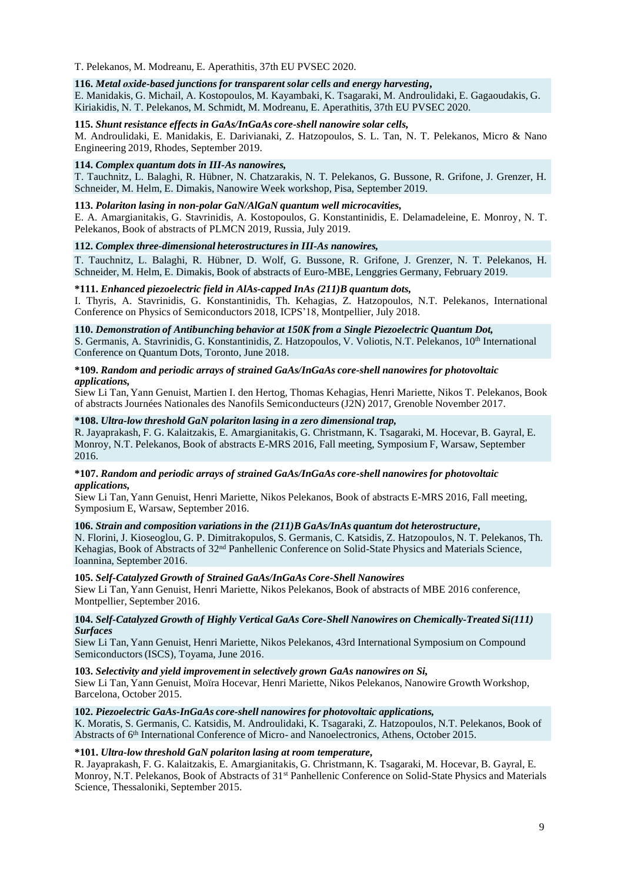T. Pelekanos, M. Modreanu, E. Aperathitis, 37th EU PVSEC 2020.

#### **116.** *Metal οxide-based junctions for transparent solar cells and energy harvesting***,**

E. Manidakis, G. Michail, A. Kostopoulos, M. Kayambaki, K. Tsagaraki, M. Androulidaki, E. Gagaoudakis, G. Kiriakidis, N. T. Pelekanos, M. Schmidt, M. Modreanu, E. Aperathitis, 37th EU PVSEC 2020.

#### **115.** *Shunt resistance effects in GaAs/InGaAs core-shell nanowire solar cells,*

M. Androulidaki, E. Manidakis, E. Darivianaki, Z. Hatzopoulos, S. L. Tan, N. T. Pelekanos, Micro & Nano Engineering 2019, Rhodes, September 2019.

# **114.** *Complex quantum dots in III-As nanowires,*

T. Tauchnitz, L. Balaghi, R. Hübner, N. Chatzarakis, N. T. Pelekanos, G. Bussone, R. Grifone, J. Grenzer, H. Schneider, M. Helm, E. Dimakis, Nanowire Week workshop, Pisa, September 2019.

## **113.** *Polariton lasing in non-polar GaN/AlGaN quantum well microcavities,*

E. A. Amargianitakis, G. Stavrinidis, A. Kostopoulos, G. Konstantinidis, E. Delamadeleine, E. Monroy, N. T. Pelekanos, Book of abstracts of PLMCN 2019, Russia, July 2019.

#### **112.** *Complex three-dimensional heterostructuresin III-As nanowires,*

T. Tauchnitz, L. Balaghi, R. Hübner, D. Wolf, G. Bussone, R. Grifone, J. Grenzer, N. T. Pelekanos, H. Schneider, M. Helm, E. Dimakis, Book of abstracts of Euro-MBE, Lenggries Germany, February 2019.

#### **\*111.** *Enhanced piezoelectric field in AlAs-capped InAs (211)B quantum dots,*

I. Thyris, A. Stavrinidis, G. Konstantinidis, Th. Kehagias, Z. Hatzopoulos, N.T. Pelekanos, International Conference on Physics of Semiconductors 2018, ICPS'18, Montpellier, July 2018.

#### **110.** *Demonstration of Antibunching behavior at 150K from a Single Piezoelectric Quantum Dot,*

S. Germanis, A. Stavrinidis, G. Konstantinidis, Z. Hatzopoulos, V. Voliotis, N.T. Pelekanos, 10<sup>th</sup> International Conference on Quantum Dots, Toronto, June 2018.

#### **\*109.** *Random and periodic arrays of strained GaAs/InGaAs core-shell nanowires for photovoltaic applications,*

Siew Li Tan, Yann Genuist, Martien I. den Hertog, Thomas Kehagias, Henri Mariette, Nikos T. Pelekanos, Book of abstracts Journées Nationales des Nanofils Semiconducteurs(J2N) 2017, Grenoble November 2017.

#### **\*108.** *Ultra-low threshold GaN polariton lasing in a zero dimensional trap,*

R. Jayaprakash, F. G. Kalaitzakis, E. Amargianitakis, G. Christmann, K. Tsagaraki, M. Hocevar, B. Gayral, E. Monroy, N.T. Pelekanos, Book of abstracts E-MRS 2016, Fall meeting, Symposium F, Warsaw, September 2016.

#### **\*107.** *Random and periodic arrays of strained GaAs/InGaAs core-shell nanowires for photovoltaic applications,*

Siew Li Tan, Yann Genuist, Henri Mariette, Nikos Pelekanos, Book of abstracts E-MRS 2016, Fall meeting, Symposium E, Warsaw, September 2016.

## **106.** *Strain and composition variations in the (211)B GaAs/InAs quantum dot heterostructure,*

N. Florini, J. Kioseoglou, G. P. Dimitrakopulos, S. Germanis, C. Katsidis, Z. Hatzopoulos, N. T. Pelekanos, Th. Kehagias, Book of Abstracts of 32<sup>nd</sup> Panhellenic Conference on Solid-State Physics and Materials Science, Ioannina, September 2016.

#### **105.** *Self-Catalyzed Growth of Strained GaAs/InGaAs Core-Shell Nanowires*

Siew Li Tan, Yann Genuist, Henri Mariette, Nikos Pelekanos, Book of abstracts of MBE 2016 conference, Montpellier, September 2016.

#### **104.** *Self-Catalyzed Growth of Highly Vertical GaAs Core-Shell Nanowires on Chemically-Treated Si(111) Surfaces*

Siew Li Tan, Yann Genuist, Henri Mariette, Nikos Pelekanos, 43rd International Symposium on Compound Semiconductors(ISCS), Toyama, June 2016.

#### **103.** *Selectivity and yield improvement in selectively grown GaAs nanowires on Si,*

Siew Li Tan, Yann Genuist, Moïra Hocevar, Henri Mariette, Nikos Pelekanos, Nanowire Growth Workshop, Barcelona, October 2015.

#### **102.** *Piezoelectric GaAs-InGaAs core-shell nanowires for photovoltaic applications,*

K. Moratis, S. Germanis, C. Katsidis, M. Androulidaki, K. Tsagaraki, Z. Hatzopoulos, N.T. Pelekanos, Book of Abstracts of 6 th International Conference of Micro- and Nanoelectronics, Athens, October 2015.

#### **\*101.** *Ultra-low threshold GaN polariton lasing at room temperature,*

R. Jayaprakash, F. G. Kalaitzakis, E. Amargianitakis, G. Christmann, K. Tsagaraki, M. Hocevar, B. Gayral, E. Monroy, N.T. Pelekanos, Book of Abstracts of 31<sup>st</sup> Panhellenic Conference on Solid-State Physics and Materials Science, Thessaloniki, September 2015.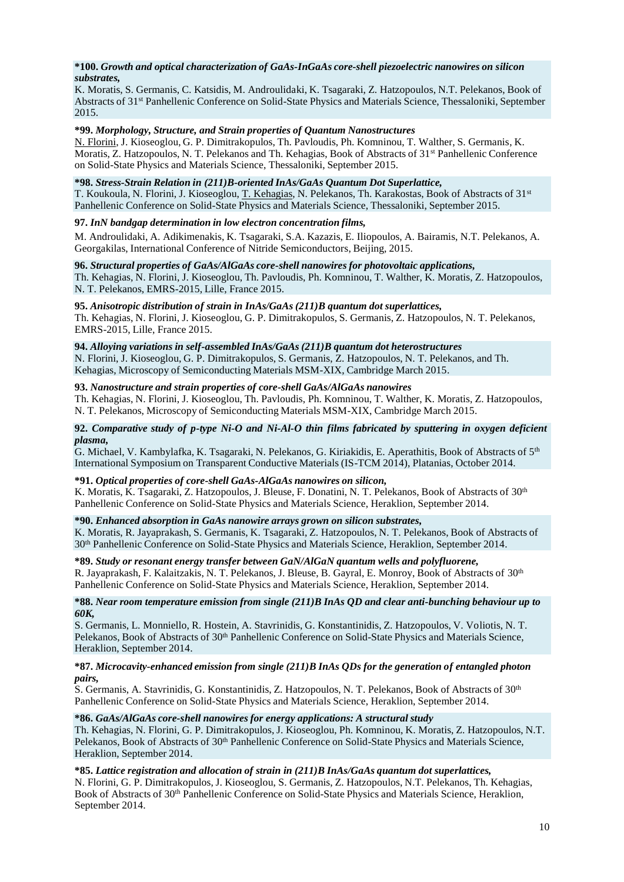# **\*100.** *Growth and optical characterization of GaAs-InGaAs core-shell piezoelectric nanowires on silicon substrates,*

K. Moratis, S. Germanis, C. Katsidis, M. Androulidaki, K. Tsagaraki, Z. Hatzopoulos, N.T. Pelekanos, Book of Abstracts of 31 st Panhellenic Conference on Solid-State Physics and Materials Science, Thessaloniki, September 2015.

# **\*99.** *Morphology, Structure, and Strain properties of Quantum Nanostructures*

N. Florini, J. Kioseoglou, G. P. Dimitrakopulos, Th. Pavloudis, Ph. Komninou, T. Walther, S. Germanis, K. Moratis, Z. Hatzopoulos, N. T. Pelekanos and Th. Kehagias, Book of Abstracts of 31<sup>st</sup> Panhellenic Conference on Solid-State Physics and Materials Science, Thessaloniki, September 2015.

# **\*98.** *Stress-Strain Relation in (211)B-oriented InAs/GaAs Quantum Dot Superlattice,*

T. Koukoula, N. Florini, J. Kioseoglou, T. Kehagias, N. Pelekanos, Th. Karakostas, Book of Abstracts of 31<sup>st</sup> Panhellenic Conference on Solid-State Physics and Materials Science, Thessaloniki, September 2015.

### **97.** *InN bandgap determination in low electron concentration films,*

M. Androulidaki, A. Adikimenakis, K. Tsagaraki, S.A. Kazazis, E. Iliopoulos, A. Bairamis, N.T. Pelekanos, A. Georgakilas, International Conference of Nitride Semiconductors, Beijing, 2015.

# **96.** *Structural properties of GaAs/AlGaAs core-shell nanowires for photovoltaic applications,*

Th. Kehagias, N. Florini, J. Kioseoglou, Th. Pavloudis, Ph. Komninou, T. Walther, K. Moratis, Z. Hatzopoulos, N. T. Pelekanos, EMRS-2015, Lille, France 2015.

# **95.** *Anisotropic distribution of strain in InAs/GaAs (211)B quantum dot superlattices,*

Th. Kehagias, N. Florini, J. Kioseoglou, G. P. Dimitrakopulos, S. Germanis, Z. Hatzopoulos, N. T. Pelekanos, EMRS-2015, Lille, France 2015.

### **94.** *Alloying variations in self-assembled InAs/GaAs (211)B quantum dot heterostructures*

N. Florini, J. Kioseoglou, G. P. Dimitrakopulos, S. Germanis, Z. Hatzopoulos, N. T. Pelekanos, and Th. Kehagias, Microscopy of Semiconducting Materials MSM-XIX, Cambridge March 2015.

### **93.** *Nanostructure and strain properties of core-shell GaAs/AlGaAs nanowires*

Th. Kehagias, N. Florini, J. Kioseoglou, Th. Pavloudis, Ph. Komninou, T. Walther, K. Moratis, Z. Hatzopoulos, N. T. Pelekanos, Microscopy of Semiconducting Materials MSM-XIX, Cambridge March 2015.

### **92.** *Comparative study of p-type Ni-O and Ni-Al-O thin films fabricated by sputtering in oxygen deficient plasma,*

G. Michael, V. Kambylafka, K. Tsagaraki, N. Pelekanos, G. Kiriakidis, E. Aperathitis, Book of Abstracts of 5<sup>th</sup> International Symposium on Transparent Conductive Materials (IS-TCM 2014), Platanias, October 2014.

# **\*91.** *Optical properties of core-shell GaAs-AlGaAs nanowires on silicon,*

K. Moratis, K. Tsagaraki, Z. Hatzopoulos, J. Bleuse, F. Donatini, N. T. Pelekanos, Book of Abstracts of 30<sup>th</sup> Panhellenic Conference on Solid-State Physics and Materials Science, Heraklion, September 2014.

# **\*90.** *Enhanced absorption in GaAs nanowire arrays grown on silicon substrates,*

K. Moratis, R. Jayaprakash, S. Germanis, K. Tsagaraki, Z. Hatzopoulos, N. T. Pelekanos, Book of Abstracts of 30th Panhellenic Conference on Solid-State Physics and Materials Science, Heraklion, September 2014.

# **\*89.** *Study or resonant energy transfer between GaN/AlGaN quantum wells and polyfluorene,*

R. Jayaprakash, F. Kalaitzakis, N. T. Pelekanos, J. Bleuse, B. Gayral, E. Monroy, Book of Abstracts of 30<sup>th</sup> Panhellenic Conference on Solid-State Physics and Materials Science, Heraklion, September 2014.

#### **\*88.** *Near room temperature emission from single (211)B InAs QD and clear anti-bunching behaviour up to 60K,*

S. Germanis, L. Monniello, R. Hostein, A. Stavrinidis, G. Konstantinidis, Z. Hatzopoulos, V. Voliotis, N. T. Pelekanos, Book of Abstracts of 30<sup>th</sup> Panhellenic Conference on Solid-State Physics and Materials Science, Heraklion, September 2014.

#### **\*87.** *Microcavity-enhanced emission from single (211)B InAs QDs for the generation of entangled photon pairs,*

S. Germanis, A. Stavrinidis, G. Konstantinidis, Z. Hatzopoulos, N. T. Pelekanos, Book of Abstracts of 30<sup>th</sup> Panhellenic Conference on Solid-State Physics and Materials Science, Heraklion, September 2014.

# **\*86.** *GaAs/AlGaAs core-shell nanowires for energy applications: A structural study*

Th. Kehagias, N. Florini, G. P. Dimitrakopulos, J. Kioseoglou, Ph. Komninou, K. Moratis, Z. Hatzopoulos, N.T. Pelekanos, Book of Abstracts of 30th Panhellenic Conference on Solid-State Physics and Materials Science, Heraklion, September 2014.

# **\*85.** *Lattice registration and allocation of strain in (211)B InAs/GaAs quantum dot superlattices,*

N. Florini, G. P. Dimitrakopulos, J. Kioseoglou, S. Germanis, Z. Hatzopoulos, N.T. Pelekanos, Th. Kehagias, Book of Abstracts of 30th Panhellenic Conference on Solid-State Physics and Materials Science, Heraklion, September 2014.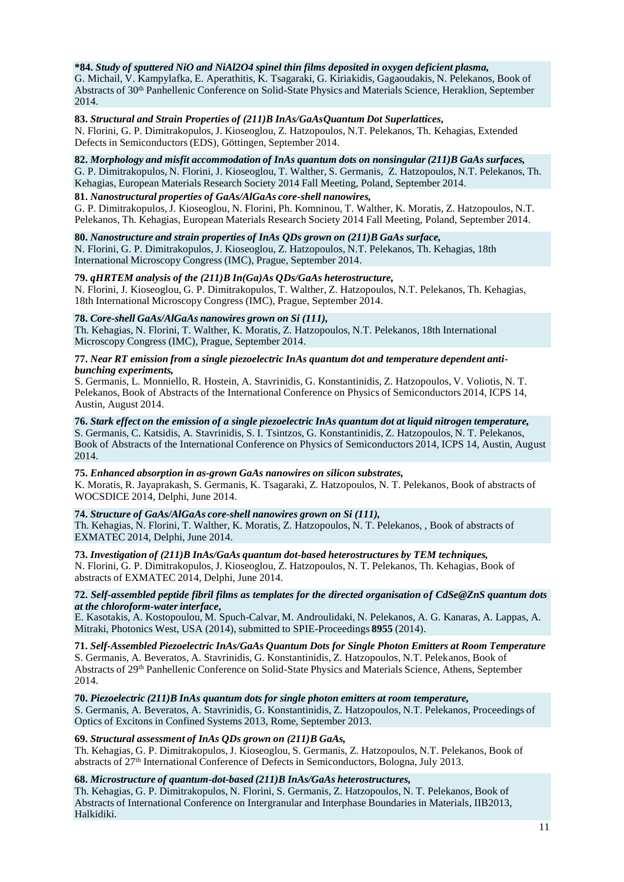# **\*84.** *Study of sputtered NiO and NiAl2O4 spinel thin films deposited in oxygen deficient plasma,*

G. Michail, V. Kampylafka, E. Aperathitis, K. Tsagaraki, G. Kiriakidis, Gagaoudakis, N. Pelekanos, Book of Abstracts of 30th Panhellenic Conference on Solid-State Physics and Materials Science, Heraklion, September 2014.

#### **83.** *Structural and Strain Properties of (211)B InAs/GaAsQuantum Dot Superlattices,*

N. Florini, G. P. Dimitrakopulos, J. Kioseoglou, Z. Hatzopoulos, N.T. Pelekanos, Th. Kehagias, Extended Defects in Semiconductors (EDS), Göttingen, September 2014.

**82.** *Morphology and misfit accommodation of InAs quantum dots on nonsingular (211)B GaAs surfaces,* G. P. Dimitrakopulos, N. Florini, J. Kioseoglou, T. Walther, S. Germanis, Z. Hatzopoulos, N.T. Pelekanos, Th.

Pelekanos, Th. Kehagias, European Materials Research Society 2014 Fall Meeting, Poland, September 2014.

# Kehagias, European Materials Research Society 2014 Fall Meeting, Poland, September 2014.

**81.** *Nanostructural properties of GaAs/AlGaAs core-shell nanowires,* G. P. Dimitrakopulos, J. Kioseoglou, N. Florini, Ph. Komninou, T. Walther, K. Moratis, Z. Hatzopoulos, N.T.

# **80.** *Nanostructure and strain properties of InAs QDs grown on (211)B GaAs surface,*

N. Florini, G. P. Dimitrakopulos, J. Kioseoglou, Z. Hatzopoulos, N.T. Pelekanos, Th. Kehagias, 18th International Microscopy Congress (IMC), Prague, September 2014.

# **79.** *qHRTEM analysis of the (211)B In(Ga)As QDs/GaAs heterostructure,*

N. Florini, J. Kioseoglou, G. P. Dimitrakopulos, T. Walther, Z. Hatzopoulos, N.T. Pelekanos, Th. Kehagias, 18th International Microscopy Congress (IMC), Prague, September 2014.

# **78.** *Core-shell GaAs/AlGaAs nanowires grown on Si (111),*

Th. Kehagias, N. Florini, T. Walther, K. Moratis, Z. Hatzopoulos, N.T. Pelekanos, 18th International Microscopy Congress (IMC), Prague, September 2014.

#### **77.** *Near RT emission from a single piezoelectric InAs quantum dot and temperature dependent antibunching experiments,*

S. Germanis, L. Monniello, R. Hostein, A. Stavrinidis, G. Konstantinidis, Z. Hatzopoulos, V. Voliotis, N. T. Pelekanos, Book of Abstracts of the International Conference on Physics of Semiconductors 2014, ICPS 14, Austin, August 2014.

**76.** *Stark effect on the emission of a single piezoelectric InAs quantum dot at liquid nitrogen temperature,* S. Germanis, C. Katsidis, A. Stavrinidis, S. I. Tsintzos, G. Konstantinidis, Z. Hatzopoulos, N. T. Pelekanos, Book of Abstracts of the International Conference on Physics of Semiconductors 2014, ICPS 14, Austin, August 2014.

#### **75.** *Enhanced absorption in as-grown GaAs nanowires on silicon substrates,* K. Moratis, R. Jayaprakash, S. Germanis, K. Tsagaraki, Z. Hatzopoulos, N. T. Pelekanos, Book of abstracts of WOCSDICE 2014, Delphi, June 2014.

#### **74.** *Structure of GaAs/AlGaAs core-shell nanowires grown on Si (111),*

Th. Kehagias, N. Florini, T. Walther, K. Moratis, Z. Hatzopoulos, N. T. Pelekanos, , Book of abstracts of EXMATEC 2014, Delphi, June 2014.

**73.** *Investigation of (211)B InAs/GaAs quantum dot-based heterostructures by TEM techniques,*

N. Florini, G. P. Dimitrakopulos, J. Kioseoglou, Z. Hatzopoulos, N. T. Pelekanos, Th. Kehagias, Book of abstracts of EXMATEC 2014, Delphi, June 2014.

## **72.** *Self-assembled peptide fibril films as templates for the directed organisation of [CdSe@ZnS](mailto:CdSe@ZnS) quantum dots at the chloroform-waterinterface***,**

E. Kasotakis, A. Kostopoulou, M. Spuch-Calvar, M. Androulidaki, N. Pelekanos, A. G. Kanaras, A. Lappas, A. Mitraki, Photonics West, USA (2014), submitted to SPIE-Proceedings **8955** (2014).

**71.** *Self-Assembled Piezoelectric InAs/GaAs Quantum Dots for Single Photon Emitters at Room Temperature* S. Germanis, A. Beveratos, A. Stavrinidis, G. Konstantinidis, Z. Hatzopoulos, N.T. Pelekanos, Book of Abstracts of 29<sup>th</sup> Panhellenic Conference on Solid-State Physics and Materials Science, Athens, September 2014.

#### **70.** *Piezoelectric (211)B InAs quantum dots for single photon emitters at room temperature,*

S. Germanis, A. Beveratos, A. Stavrinidis, G. Konstantinidis, Z. Hatzopoulos, N.T. Pelekanos, Proceedings of Optics of Excitons in Confined Systems 2013, Rome, September 2013.

# **69.** *Structural assessment of InAs QDs grown on (211)B GaAs,*

Th. Kehagias, G. P. Dimitrakopulos, J. Kioseoglou, S. Germanis, Z. Hatzopoulos, N.T. Pelekanos, Book of abstracts of 27 th International Conference of Defects in Semiconductors, Bologna, July 2013.

# **68.** *Microstructure of quantum-dot-based (211)B InAs/GaAs heterostructures,*

Th. Kehagias, G. P. Dimitrakopulos, N. Florini, S. Germanis, Z. Hatzopoulos, N. T. Pelekanos, Book of Abstracts of International Conference on Intergranular and Interphase Boundaries in Materials, IIB2013, Halkidiki.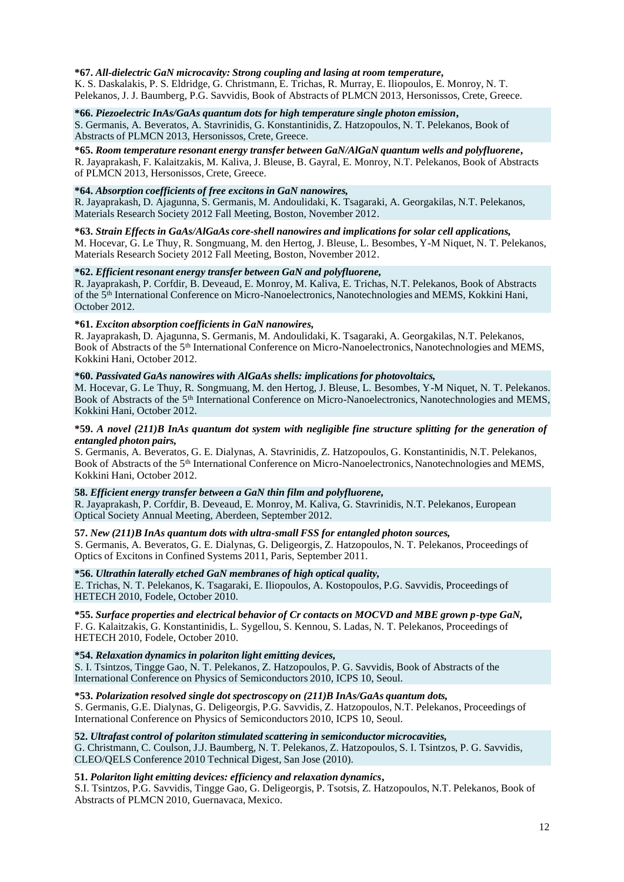# **\*67.** *All-dielectric GaN microcavity: Strong coupling and lasing at room temperature***,**

K. S. Daskalakis, P. S. Eldridge, G. Christmann, E. Trichas, R. Murray, E. Iliopoulos, E. Monroy, N. T. Pelekanos, J. J. Baumberg, P.G. Savvidis, Book of Abstracts of PLMCN 2013, Hersonissos, Crete, Greece.

**\*66.** *Piezoelectric InAs/GaAs quantum dots for high temperature single photon emission***,** S. Germanis, A. Beveratos, A. Stavrinidis, G. Konstantinidis, Z. Hatzopoulos, N. T. Pelekanos, Book of Abstracts of PLMCN 2013, Hersonissos, Crete, Greece.

**\*65.** *Room temperature resonant energy transfer between GaN/AlGaN quantum wells and polyfluorene***,** R. Jayaprakash, F. Kalaitzakis, M. Kaliva, J. Bleuse, B. Gayral, E. Monroy, N.T. Pelekanos, Book of Abstracts of PLMCN 2013, Hersonissos, Crete, Greece.

# **\*64.** *Absorption coefficients of free excitons in GaN nanowires,*

R. Jayaprakash, D. Ajagunna, S. Germanis, M. Andoulidaki, K. Tsagaraki, A. Georgakilas, N.T. Pelekanos, Materials Research Society 2012 Fall Meeting, Boston, November 2012.

**\*63.** *Strain Effects in GaAs/AlGaAs core-shell nanowires and implicationsfor solar cell applications,* M. Hocevar, G. Le Thuy, R. Songmuang, M. den Hertog, J. Bleuse, L. Besombes, Y-M Niquet, N. T. Pelekanos, Materials Research Society 2012 Fall Meeting, Boston, November 2012.

# **\*62.** *Efficient resonant energy transfer between GaN and polyfluorene,*

R. Jayaprakash, P. Corfdir, B. Deveaud, E. Monroy, M. Kaliva, E. Trichas, N.T. Pelekanos, Book of Abstracts of the 5 th International Conference on Micro-Nanoelectronics, Nanotechnologies and MEMS, Kokkini Hani, October 2012.

### **\*61.** *Exciton absorption coefficients in GaN nanowires,*

R. Jayaprakash, D. Ajagunna, S. Germanis, M. Andoulidaki, K. Tsagaraki, A. Georgakilas, N.T. Pelekanos, Book of Abstracts of the 5<sup>th</sup> International Conference on Micro-Nanoelectronics, Nanotechnologies and MEMS, Kokkini Hani, October 2012.

### **\*60.** *Passivated GaAs nanowires with AlGaAs shells: implications for photovoltaics,*

M. Hocevar, G. Le Thuy, R. Songmuang, M. den Hertog, J. Bleuse, L. Besombes, Y-M Niquet, N. T. Pelekanos. Book of Abstracts of the 5<sup>th</sup> International Conference on Micro-Nanoelectronics, Nanotechnologies and MEMS, Kokkini Hani, October 2012.

#### \*59. A novel (211)B InAs quantum dot system with negligible fine structure splitting for the generation of *entangled photon pairs,*

S. Germanis, A. Beveratos, G. E. Dialynas, A. Stavrinidis, Z. Hatzopoulos, G. Konstantinidis, N.T. Pelekanos, Book of Abstracts of the 5<sup>th</sup> International Conference on Micro-Nanoelectronics, Nanotechnologies and MEMS, Kokkini Hani, October 2012.

#### **58.** *Efficient energy transfer between a GaN thin film and polyfluorene,*

R. Jayaprakash, P. Corfdir, B. Deveaud, E. Monroy, M. Kaliva, G. Stavrinidis, N.T. Pelekanos, European Optical Society Annual Meeting, Aberdeen, September 2012.

# **57.** *New (211)B InAs quantum dots with ultra-small FSS for entangled photon sources,*

S. Germanis, A. Beveratos, G. E. Dialynas, G. Deligeorgis, Z. Hatzopoulos, N. T. Pelekanos, Proceedings of Optics of Excitons in Confined Systems 2011, Paris, September 2011.

# **\*56.** *Ultrathin laterally etched GaN membranes of high optical quality,*

E. Trichas, N. T. Pelekanos, K. Tsagaraki, E. Iliopoulos, A. Kostopoulos, P.G. Savvidis, Proceedings of HETECH 2010, Fodele, October 2010.

#### **\*55.** *Surface properties and electrical behavior of Cr contacts on MOCVD and MBE grown p-type GaN,*  F. G. Kalaitzakis, G. Konstantinidis, L. Sygellou, S. Kennou, S. Ladas, N. T. Pelekanos, Proceedings of HETECH 2010, Fodele, October 2010.

#### **\*54.** *Relaxation dynamics in polariton light emitting devices,*

S. I. Tsintzos, Tingge Gao, N. T. Pelekanos, Z. Hatzopoulos, P. G. Savvidis, Book of Abstracts of the International Conference on Physics of Semiconductors 2010, ICPS 10, Seoul.

**\*53.** *Polarization resolved single dot spectroscopy on (211)B InAs/GaAs quantum dots,*

S. Germanis, G.E. Dialynas, G. Deligeorgis, P.G. Savvidis, Z. Hatzopoulos, N.T. Pelekanos, Proceedings of International Conference on Physics of Semiconductors 2010, ICPS 10, Seoul.

# **52.** *Ultrafast control of polariton stimulated scattering in semiconductor microcavities,*

G. Christmann, C. Coulson, J.J. Baumberg, N. T. Pelekanos, Z. Hatzopoulos, S. I. Tsintzos, P. G. Savvidis, CLEO/QELS Conference 2010 Technical Digest, San Jose (2010).

# **51.** *Polariton light emitting devices: efficiency and relaxation dynamics***,**

S.I. Tsintzos, P.G. Savvidis, Tingge Gao, G. Deligeorgis, P. Tsotsis, Z. Hatzopoulos, N.T. Pelekanos, Book of Abstracts of PLMCN 2010, Guernavaca, Mexico.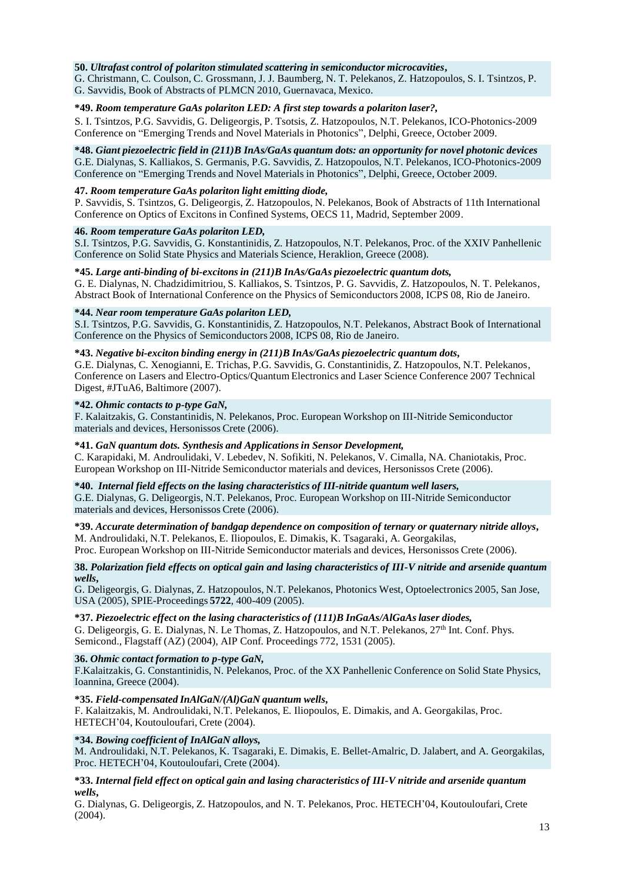# **50.** *Ultrafast control of polariton stimulated scattering in semiconductor microcavities***,**

G. Christmann, C. Coulson, C. Grossmann, J. J. Baumberg, N. T. Pelekanos, Z. Hatzopoulos, S. I. Tsintzos, P. G. Savvidis, Book of Abstracts of PLMCN 2010, Guernavaca, Mexico.

# **\*49.** *Room temperature GaAs polariton LED: A first step towards a polariton laser?,*

S. I. Tsintzos, P.G. Savvidis, G. Deligeorgis, P. Tsotsis, Z. Hatzopoulos, N.T. Pelekanos, ICO-Photonics-2009 Conference on "Emerging Trends and Novel Materials in Photonics", Delphi, Greece, October 2009.

#### **\*48.** *Giant piezoelectric field in (211)B InAs/GaAs quantum dots: an opportunity for novel photonic devices* G.E. Dialynas, S. Kalliakos, S. Germanis, P.G. Savvidis, Z. Hatzopoulos, N.T. Pelekanos, ICO-Photonics-2009 Conference on "Emerging Trends and Novel Materials in Photonics", Delphi, Greece, October 2009.

# **47.** *Room temperature GaAs polariton light emitting diode,*

P. Savvidis, S. Tsintzos, G. Deligeorgis, Z. Hatzopoulos, N. Pelekanos, Book of Abstracts of 11th International Conference on Optics of Excitons in Confined Systems, OECS 11, Madrid, September 2009.

#### **46.** *Room temperature GaAs polariton LED,*

S.I. Tsintzos, P.G. Savvidis, G. Konstantinidis, Z. Hatzopoulos, N.T. Pelekanos, Proc. of the XXIV Panhellenic Conference on Solid State Physics and Materials Science, Heraklion, Greece (2008).

# **\*45.** *Large anti-binding of bi-excitons in (211)B InAs/GaAs piezoelectric quantum dots,*

G. E. Dialynas, N. Chadzidimitriou, S. Kalliakos, S. Tsintzos, P. G. Savvidis, Z. Hatzopoulos, N. T. Pelekanos, Abstract Book of International Conference on the Physics of Semiconductors 2008, ICPS 08, Rio de Janeiro.

### **\*44.** *Near room temperature GaAs polariton LED,*

S.I. Tsintzos, P.G. Savvidis, G. Konstantinidis, Z. Hatzopoulos, N.T. Pelekanos, Abstract Book of International Conference on the Physics of Semiconductors 2008, ICPS 08, Rio de Janeiro.

# **\*43.** *Negative bi-exciton binding energy in (211)B InAs/GaAs piezoelectric quantum dots,*

G.E. Dialynas, C. Xenogianni, E. Trichas, P.G. Savvidis, G. Constantinidis, Z. Hatzopoulos, N.T. Pelekanos, Conference on Lasers and Electro-Optics/Quantum Electronics and Laser Science Conference 2007 Technical Digest, #JTuA6, Baltimore (2007).

### **\*42.** *Ohmic contacts to p-type GaN,*

F. Kalaitzakis, G. Constantinidis, N. Pelekanos, Proc. European Workshop on III-Nitride Semiconductor materials and devices, Hersonissos Crete (2006).

#### **\*41.** *GaN quantum dots. Synthesis and Applicationsin Sensor Development,*

C. Karapidaki, M. Androulidaki, V. Lebedev, N. Sofikiti, N. Pelekanos, V. Cimalla, NA. Chaniotakis, Proc. European Workshop on III-Nitride Semiconductor materials and devices, Hersonissos Crete (2006).

# **\*40.** *Internal field effects on the lasing characteristics of III-nitride quantum well lasers,*

G.E. Dialynas, G. Deligeorgis, N.T. Pelekanos, Proc. European Workshop on III-Nitride Semiconductor materials and devices, Hersonissos Crete (2006).

**\*39.** *Accurate determination of bandgap dependence on composition of ternary or quaternary nitride alloys***,** M. Androulidaki, N.T. Pelekanos, E. Iliopoulos, E. Dimakis, K. Tsagaraki, A. Georgakilas,

Proc. European Workshop on III-Nitride Semiconductor materials and devices, Hersonissos Crete (2006).

#### **38.** *Polarization field effects on optical gain and lasing characteristics of III-V nitride and arsenide quantum wells***,**

G. Deligeorgis, G. Dialynas, Z. Hatzopoulos, N.T. Pelekanos, Photonics West, Optoelectronics 2005, San Jose, USA (2005), SPIE-Proceedings **5722**, 400-409 (2005).

#### **\*37.** *Piezoelectric effect on the lasing characteristics of (111)B InGaAs/AlGaAslaser diodes,*

G. Deligeorgis, G. E. Dialynas, N. Le Thomas, Z. Hatzopoulos, and N.T. Pelekanos, 27<sup>th</sup> Int. Conf. Phys. Semicond., Flagstaff (AZ) (2004), AIP Conf. Proceedings 772, 1531 (2005).

#### **36.** *Ohmic contact formation to p-type GaN,*

F.Kalaitzakis, G. Constantinidis, N. Pelekanos, Proc. of the XX Panhellenic Conference on Solid State Physics, Ioannina, Greece (2004).

# **\*35.** *Field-compensated InAlGaN/(Al)GaN quantum wells,*

F. Kalaitzakis, M. Androulidaki, N.T. Pelekanos, E. Iliopoulos, E. Dimakis, and A. Georgakilas, Proc. HETECH'04, Koutouloufari, Crete (2004).

#### **\*34.** *Bowing coefficient of InAlGaN alloys,*

M. Androulidaki, N.T. Pelekanos, K. Tsagaraki, E. Dimakis, E. Bellet-Amalric, D. Jalabert, and A. Georgakilas, Proc. HETECH'04, Koutouloufari, Crete (2004).

# **\*33.** *Internal field effect on optical gain and lasing characteristics of III-V nitride and arsenide quantum wells***,**

G. Dialynas, G. Deligeorgis, Z. Hatzopoulos, and N. T. Pelekanos, Proc. HETECH'04, Koutouloufari, Crete (2004).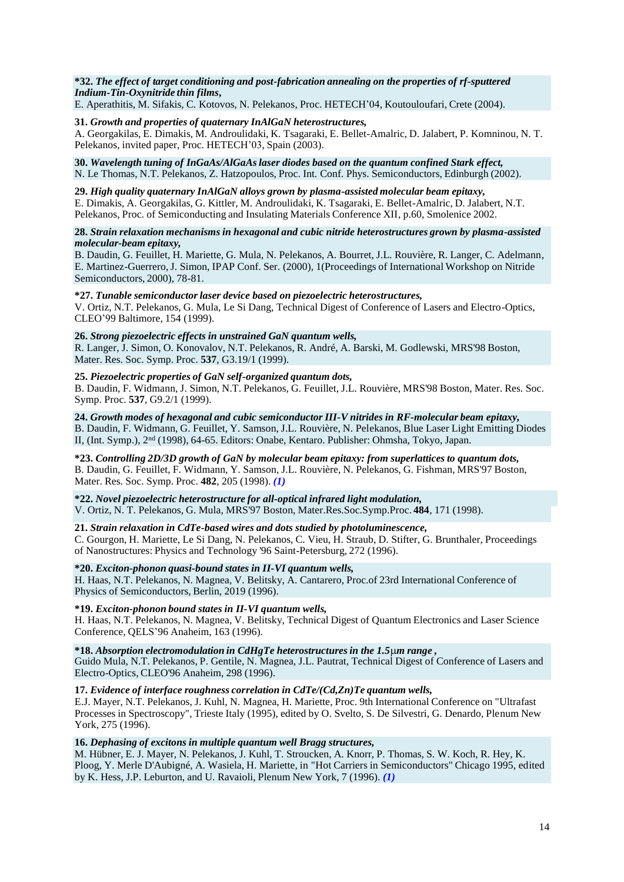#### **\*32.** *The effect of target conditioning and post-fabrication annealing on the properties of rf-sputtered Indium-Tin-Oxynitride thin films***,**

E. Aperathitis, M. Sifakis, C. Kotovos, N. Pelekanos, Proc. HETECH'04, Koutouloufari, Crete (2004).

### **31.** *Growth and properties of quaternary InAlGaN heterostructures,*

A. Georgakilas, E. Dimakis, M. Androulidaki, K. Tsagaraki, E. Bellet-Amalric, D. Jalabert, P. Komninou, N. T. Pelekanos, invited paper, Proc. HETECH'03, Spain (2003).

#### **30.** *Wavelength tuning of InGaAs/AlGaAslaser diodes based on the quantum confined Stark effect,* N. Le Thomas, N.T. Pelekanos, Z. Hatzopoulos, Proc. Int. Conf. Phys. Semiconductors, Edinburgh (2002).

#### **29.** *High quality quaternary InAlGaN alloys grown by plasma-assisted molecular beam epitaxy,* E. Dimakis, A. Georgakilas, G. Kittler, M. Androulidaki, K. Tsagaraki, E. Bellet-Amalric, D. Jalabert, N.T. Pelekanos, Proc. of Semiconducting and Insulating Materials Conference XII, p.60, Smolenice 2002.

### **28.** *Strain relaxation mechanisms in hexagonal and cubic nitride heterostructures grown by plasma-assisted molecular-beam epitaxy,*

B. Daudin, G. Feuillet, H. Mariette, G. Mula, N. Pelekanos, A. Bourret, J.L. Rouvière, R. Langer, C. Adelmann, E. Martinez-Guerrero,J. Simon, IPAP Conf. Ser. (2000), 1(Proceedings of International Workshop on Nitride Semiconductors, 2000), 78-81.

## **\*27.** *Tunable semiconductorlaser device based on piezoelectric heterostructures,*

V. Ortiz, N.T. Pelekanos, G. Mula, Le Si Dang, Technical Digest of Conference of Lasers and Electro-Optics, CLEO'99 Baltimore, 154 (1999).

# **26.** *Strong piezoelectric effects in unstrained GaN quantum wells,*

R. Langer, J. Simon, O. Konovalov, N.T. Pelekanos, R. André, A. Barski, M. Godlewski, MRS'98 Boston, Mater. Res. Soc. Symp. Proc. **537**, G3.19/1 (1999).

# **25.** *Piezoelectric properties of GaN self-organized quantum dots,*

B. Daudin, F. Widmann, J. Simon, N.T. Pelekanos, G. Feuillet, J.L. Rouvière, MRS'98 Boston, Mater. Res. Soc. Symp. Proc. **537**, G9.2/1 (1999).

**24.** *Growth modes of hexagonal and cubic semiconductor III-V nitrides in RF-molecular beam epitaxy,* B. Daudin, F. Widmann, G. Feuillet, Y. Samson, J.L. Rouvière, N. Pelekanos, Blue Laser Light Emitting Diodes II, (Int. Symp.), 2<sup>nd</sup> (1998), 64-65. Editors: Onabe, Kentaro. Publisher: Ohmsha, Tokyo, Japan.

**\*23.** *Controlling 2D/3D growth of GaN by molecular beam epitaxy: from superlattices to quantum dots,*  B. Daudin, G. Feuillet, F. Widmann, Y. Samson, J.L. Rouvière, N. Pelekanos, G. Fishman, MRS'97 Boston, Mater. Res. Soc. Symp. Proc. **482**, 205 (1998). *(1)*

# **\*22.** *Novel piezoelectric heterostructure for all-optical infrared light modulation,*

V. Ortiz, N. T. Pelekanos, G. Mula, MRS'97 Boston, Mater.Res.Soc.Symp.Proc. **484**, 171 (1998).

# **21.** *Strain relaxation in CdTe-based wires and dots studied by photoluminescence,*

C. Gourgon, H. Mariette, Le Si Dang, N. Pelekanos, C. Vieu, H. Straub, D. Stifter, G. Brunthaler, Proceedings of Nanostructures: Physics and Technology '96 Saint-Petersburg, 272 (1996).

# **\*20.** *Exciton-phonon quasi-bound states in II-VI quantum wells,*

H. Haas, N.T. Pelekanos, N. Magnea, V. Belitsky, A. Cantarero, Proc.of 23rd International Conference of Physics of Semiconductors, Berlin, 2019 (1996).

# **\*19.** *Exciton-phonon bound states in II-VI quantum wells,*

H. Haas, N.T. Pelekanos, N. Magnea, V. Belitsky, Technical Digest of Quantum Electronics and Laser Science Conference, QELS'96 Anaheim, 163 (1996).

**\*18.** *Absorption electromodulation in CdHgTe heterostructuresin the 1.5m range ,*

Guido Mula, N.T. Pelekanos, P. Gentile, N. Magnea, J.L. Pautrat, Technical Digest of Conference of Lasers and Electro-Optics, CLEO'96 Anaheim, 298 (1996).

**17.** *Evidence of interface roughness correlation in CdTe/(Cd,Zn)Te quantum wells,*

E.J. Mayer, N.T. Pelekanos, J. Kuhl, N. Magnea, H. Mariette, Proc. 9th International Conference on "Ultrafast Processes in Spectroscopy", Trieste Italy (1995), edited by O. Svelto, S. De Silvestri, G. Denardo, Plenum New York, 275 (1996).

# **16.** *Dephasing of excitons in multiple quantum well Bragg structures,*

M. Hübner, E. J. Mayer, N. Pelekanos, J. Kuhl, T. Stroucken, A. Knorr, P. Thomas, S. W. Koch, R. Hey, K. Ploog, Y. Merle D'Aubigné, A. Wasiela, H. Mariette, in "Hot Carriers in Semiconductors" Chicago 1995, edited by K. Hess, J.P. Leburton, and U. Ravaioli, Plenum New York, 7 (1996). *(1)*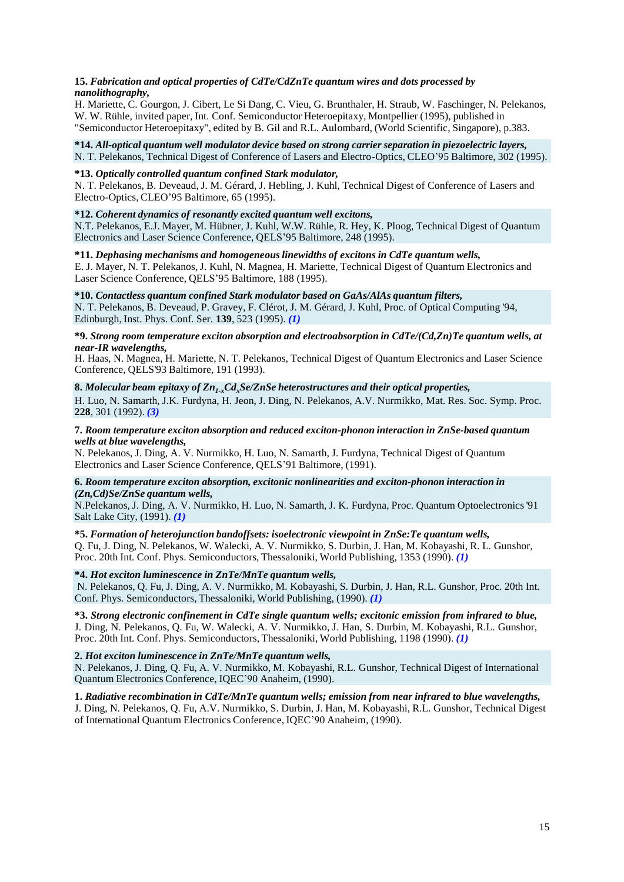#### **15.** *Fabrication and optical properties of CdTe/CdZnTe quantum wires and dots processed by nanolithography,*

H. Mariette, C. Gourgon, J. Cibert, Le Si Dang, C. Vieu, G. Brunthaler, H. Straub, W. Faschinger, N. Pelekanos, W. W. Rühle, invited paper, Int. Conf. Semiconductor Heteroepitaxy, Montpellier (1995), published in "Semiconductor Heteroepitaxy", edited by B. Gil and R.L. Aulombard, (World Scientific, Singapore), p.383.

# **\*14.** *All-optical quantum well modulator device based on strong carrier separation in piezoelectric layers,*

N. T. Pelekanos, Technical Digest of Conference of Lasers and Electro-Optics, CLEO'95 Baltimore, 302 (1995).

# **\*13.** *Optically controlled quantum confined Stark modulator,*

N. T. Pelekanos, B. Deveaud, J. M. Gérard, J. Hebling, J. Kuhl, Technical Digest of Conference of Lasers and Electro-Optics, CLEO'95 Baltimore, 65 (1995).

# **\*12.** *Coherent dynamics of resonantly excited quantum well excitons,*

N.T. Pelekanos, E.J. Mayer, M. Hübner, J. Kuhl, W.W. Rühle, R. Hey, K. Ploog, Technical Digest of Quantum Electronics and Laser Science Conference, QELS'95 Baltimore, 248 (1995).

### **\*11.** *Dephasing mechanisms and homogeneouslinewidths of excitons in CdTe quantum wells,*

E. J. Mayer, N. T. Pelekanos, J. Kuhl, N. Magnea, H. Mariette, Technical Digest of Quantum Electronics and Laser Science Conference, QELS'95 Baltimore, 188 (1995).

# **\*10.** *Contactless quantum confined Stark modulator based on GaAs/AlAs quantum filters,*

N. T. Pelekanos, B. Deveaud, P. Gravey, F. Clérot, J. M. Gérard, J. Kuhl, Proc. of Optical Computing '94, Edinburgh, Inst. Phys. Conf. Ser. **139**, 523 (1995). *(1)*

# **\*9.** *Strong room temperature exciton absorption and electroabsorption in CdTe/(Cd,Zn)Te quantum wells, at near-IR wavelengths,*

H. Haas, N. Magnea, H. Mariette, N. T. Pelekanos, Technical Digest of Quantum Electronics and Laser Science Conference, QELS'93 Baltimore, 191 (1993).

## **8.** *Molecular beam epitaxy of Zn1-xCdxSe/ZnSe heterostructures and their optical properties,*

H. Luo, N. Samarth, J.K. Furdyna, H. Jeon, J. Ding, N. Pelekanos, A.V. Nurmikko, Mat. Res. Soc. Symp. Proc. **228**, 301 (1992). *(3)*

## **7.** *Room temperature exciton absorption and reduced exciton-phonon interaction in ZnSe-based quantum wells at blue wavelengths,*

N. Pelekanos, J. Ding, A. V. Nurmikko, H. Luo, N. Samarth, J. Furdyna, Technical Digest of Quantum Electronics and Laser Science Conference, QELS'91 Baltimore, (1991).

### **6.** *Room temperature exciton absorption, excitonic nonlinearities and exciton-phonon interaction in (Zn,Cd)Se/ZnSe quantum wells,*

N.Pelekanos, J. Ding, A. V. Nurmikko, H. Luo, N. Samarth, J. K. Furdyna, Proc. Quantum Optoelectronics'91 Salt Lake City, (1991). *(1)*

# **\*5.** *Formation of heterojunction bandoffsets: isoelectronic viewpoint in ZnSe:Te quantum wells,*

Q. Fu, J. Ding, N. Pelekanos, W. Walecki, A. V. Nurmikko, S. Durbin, J. Han, M. Kobayashi, R. L. Gunshor, Proc. 20th Int. Conf. Phys. Semiconductors, Thessaloniki, World Publishing, 1353 (1990). *(1)*

# **\*4.** *Hot exciton luminescence in ZnTe/MnTe quantum wells,*

N. Pelekanos, Q. Fu, J. Ding, A. V. Nurmikko, M. Kobayashi, S. Durbin, J. Han, R.L. Gunshor, Proc. 20th Int. Conf. Phys. Semiconductors, Thessaloniki, World Publishing, (1990). *(1)*

**\*3.** *Strong electronic confinement in CdTe single quantum wells; excitonic emission from infrared to blue,*  J. Ding, N. Pelekanos, Q. Fu, W. Walecki, A. V. Nurmikko, J. Han, S. Durbin, M. Kobayashi, R.L. Gunshor, Proc. 20th Int. Conf. Phys. Semiconductors, Thessaloniki, World Publishing, 1198 (1990). *(1)*

# **2.** *Hot exciton luminescence in ZnTe/MnTe quantum wells,*

N. Pelekanos, J. Ding, Q. Fu, A. V. Nurmikko, M. Kobayashi, R.L. Gunshor, Technical Digest of International Quantum Electronics Conference, IQEC'90 Anaheim, (1990).

# **1.** *Radiative recombination in CdTe/MnTe quantum wells; emission from near infrared to blue wavelengths,*

J. Ding, N. Pelekanos, Q. Fu, A.V. Nurmikko, S. Durbin, J. Han, M. Kobayashi, R.L. Gunshor, Technical Digest of International Quantum Electronics Conference, IQEC'90 Anaheim, (1990).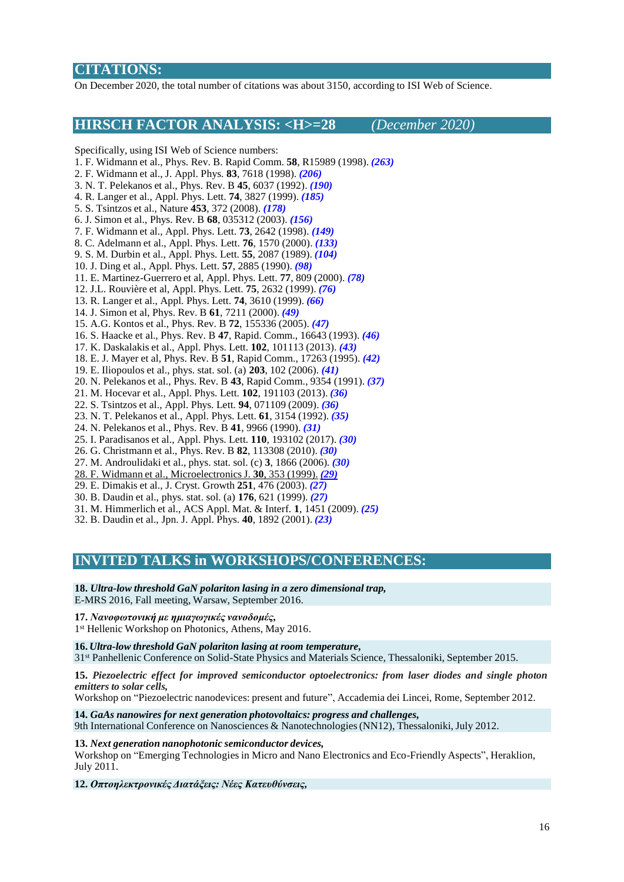# **CITATIONS:**

On December 2020, the total number of citations was about 3150, according to ISI Web of Science.

# **HIRSCH FACTOR ANALYSIS: <H>=28** *(December 2020)*

Specifically, using ISI Web of Science numbers:

- 1. F. Widmann et al., Phys. Rev. B. Rapid Comm. **58**, R15989 (1998). *(263)*
- 2. F. Widmann et al., J. Appl. Phys. **83**, 7618 (1998). *(206)*
- 3. N. T. Pelekanos et al., Phys. Rev. B **45**, 6037 (1992). *(190)*
- 4. R. Langer et al., Appl. Phys. Lett. **74**, 3827 (1999). *(185)*
- 5. S. Tsintzos et al., Nature **453**, 372 (2008). *(178)*
- 6. J. Simon et al., Phys. Rev. B **68**, 035312 (2003). *(156)*
- 7. F. Widmann et al., Appl. Phys. Lett. **73**, 2642 (1998). *(149)*
- 8. C. Adelmann et al., Appl. Phys. Lett. **76**, 1570 (2000). *(133)*
- 9. S. M. Durbin et al., Appl. Phys. Lett. **55**, 2087 (1989). *(104)*
- 10. J. Ding et al., Appl. Phys. Lett. **57**, 2885 (1990). *(98)*
- 11. E. Martinez-Guerrero et al, Appl. Phys. Lett. **77**, 809 (2000). *(78)*
- 12. J.L. Rouvière et al, Appl. Phys. Lett. **75**, 2632 (1999). *(76)*
- 13. R. Langer et al., Appl. Phys. Lett. **74**, 3610 (1999). *(66)*
- 14. J. Simon et al, Phys. Rev. B **61**, 7211 (2000). *(49)*
- 15. A.G. Kontos et al., Phys. Rev. B **72**, 155336 (2005). *(47)*
- 16. S. Haacke et al., Phys. Rev. B **47**, Rapid. Comm., 16643 (1993). *(46)*
- 17. K. Daskalakis et al., Appl. Phys. Lett. **102**, 101113 (2013). *(43)*
- 18. E. J. Mayer et al, Phys. Rev. B **51**, Rapid Comm., 17263 (1995). *(42)*
- 19. E. Iliopoulos et al., phys. stat. sol. (a) **203**, 102 (2006). *(41)*
- 20. N. Pelekanos et al., Phys. Rev. B **43**, Rapid Comm., 9354 (1991). *(37)*
- 21. M. Hocevar et al., Appl. Phys. Lett. **102**, 191103 (2013). *(36)*
- 22. S. Tsintzos et al., Appl. Phys. Lett. **94**, 071109 (2009). *(36)*
- 23. N. T. Pelekanos et al., Appl. Phys. Lett. **61**, 3154 (1992). *(35)*
- 24. N. Pelekanos et al., Phys. Rev. B **41**, 9966 (1990). *(31)*
- 25. I. Paradisanos et al., Appl. Phys. Lett. **110**, 193102 (2017). *(30)*
- 26. G. Christmann et al., Phys. Rev. B **82**, 113308 (2010). *(30)*
- 27. M. Androulidaki et al., phys. stat. sol. (c) **3**, 1866 (2006). *(30)*
- 28. F. Widmann et al., MicroelectronicsJ. **30**, 353 (1999). *(29)* 29. E. Dimakis et al., J. Cryst. Growth **251**, 476 (2003). *(27)*
- 30. B. Daudin et al., phys. stat. sol. (a) **176**, 621 (1999). *(27)*
- 31. M. Himmerlich et al., ACS Appl. Mat. & Interf. **1**, 1451 (2009). *(25)*
- 32. B. Daudin et al., Jpn. J. Appl. Phys. **40**, 1892 (2001). *(23)*

# **INVITED TALKS in WORKSHOPS/CONFERENCES:**

**18.** *Ultra-low threshold GaN polariton lasing in a zero dimensional trap,* E-MRS 2016, Fall meeting, Warsaw, September 2016.

## **17.** *Νανοφωτονική με ημιαγωγικές νανοδομές,*

1<sup>st</sup> Hellenic Workshop on Photonics, Athens, May 2016.

**16.** *Ultra-low threshold GaN polariton lasing at room temperature,*

31st Panhellenic Conference on Solid-State Physics and Materials Science, Thessaloniki, September 2015.

**15.** *Piezoelectric effect for improved semiconductor optoelectronics: from laser diodes and single photon emitters to solar cells,*

Workshop on "Piezoelectric nanodevices: present and future", Accademia dei Lincei, Rome, September 2012.

**14.** *GaAs nanowires for next generation photovoltaics: progress and challenges,* 9th International Conference on Nanosciences & Nanotechnologies(NN12), Thessaloniki, July 2012.

#### **13.** *Next generation nanophotonic semiconductor devices,*

Workshop on "Emerging Technologies in Micro and Nano Electronics and Eco-Friendly Aspects", Heraklion, July 2011.

**12.** *Οπτοηλεκτρονικές Διατάξεις: Νέες Κατευθύνσεις,*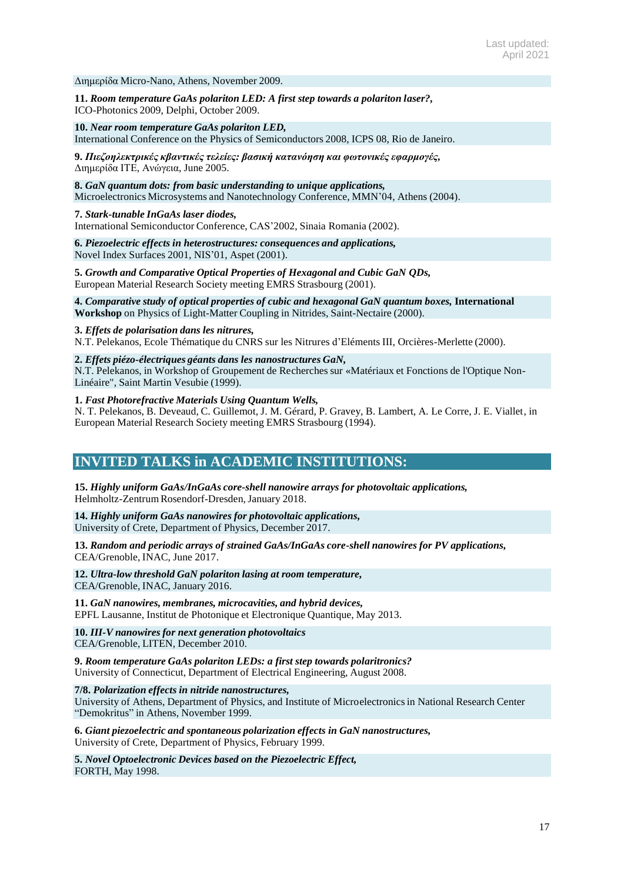Διημερίδα Micro-Nano, Athens, November 2009.

**11.** *Room temperature GaAs polariton LED: A first step towards a polariton laser?,* ICO-Photonics 2009, Delphi, October 2009.

**10.** *Near room temperature GaAs polariton LED,* International Conference on the Physics of Semiconductors 2008, ICPS 08, Rio de Janeiro.

**9.** *Πιεζοηλεκτρικές κβαντικές τελείες: βασική κατανόηση και φωτονικές εφαρμογές,* Διημερίδα ΙΤΕ, Ανώγεια, June 2005.

**8.** *GaN quantum dots: from basic understanding to unique applications,* Microelectronics Microsystems and Nanotechnology Conference, MMN'04, Athens (2004).

**7.** *Stark-tunable InGaAs laser diodes,*

International Semiconductor Conference, CAS'2002, Sinaia Romania (2002).

**6.** *Piezoelectric effects in heterostructures: consequences and applications,* Novel Index Surfaces 2001, NIS'01, Aspet (2001).

**5.** *Growth and Comparative Optical Properties of Hexagonal and Cubic GaN QDs,* European Material Research Society meeting EMRS Strasbourg (2001).

#### **4.** *Comparative study of optical properties of cubic and hexagonal GaN quantum boxes,* **International Workshop** on Physics of Light-Matter Coupling in Nitrides, Saint-Nectaire (2000).

**3.** *Effets de polarisation dans les nitrures,*

N.T. Pelekanos, Ecole Thématique du CNRS sur les Nitrures d'Eléments III, Orcières-Merlette (2000).

# **2.** *Effets piézo-électriques géants dans les nanostructures GaN,*

N.T. Pelekanos, in Workshop of Groupement de Recherches sur «Matériaux et Fonctions de l'Optique Non-Linéaire", Saint Martin Vesubie (1999).

### **1.** *Fast Photorefractive Materials Using Quantum Wells,*

N. T. Pelekanos, B. Deveaud, C. Guillemot, J. M. Gérard, P. Gravey, B. Lambert, A. Le Corre, J. E. Viallet, in European Material Research Society meeting EMRS Strasbourg (1994).

# **INVITED TALKS in ACADEMIC INSTITUTIONS:**

**15.** *Highly uniform GaAs/InGaAs core-shell nanowire arrays for photovoltaic applications,* Helmholtz-Zentrum Rosendorf-Dresden, January 2018.

**14.** *Highly uniform GaAs nanowires for photovoltaic applications,* University of Crete, Department of Physics, December 2017.

**13.** *Random and periodic arrays of strained GaAs/InGaAs core-shell nanowires for PV applications,* CEA/Grenoble, INAC, June 2017.

**12.** *Ultra-low threshold GaN polariton lasing at room temperature,* CEA/Grenoble, INAC, January 2016.

**11.** *GaN nanowires, membranes, microcavities, and hybrid devices,* EPFL Lausanne, Institut de Photonique et Electronique Quantique, May 2013.

**10.** *III-V nanowires for next generation photovoltaics* CEA/Grenoble, LITEN, December 2010.

**9.** *Room temperature GaAs polariton LEDs: a first step towards polaritronics?* University of Connecticut, Department of Electrical Engineering, August 2008.

**7/8.** *Polarization effects in nitride nanostructures,*

University of Athens, Department of Physics, and Institute of Microelectronicsin National Research Center "Demokritus" in Athens, November 1999.

**6.** *Giant piezoelectric and spontaneous polarization effects in GaN nanostructures,* University of Crete, Department of Physics, February 1999.

**5.** *Novel Optoelectronic Devices based on the Piezoelectric Effect,* FORTH, May 1998.